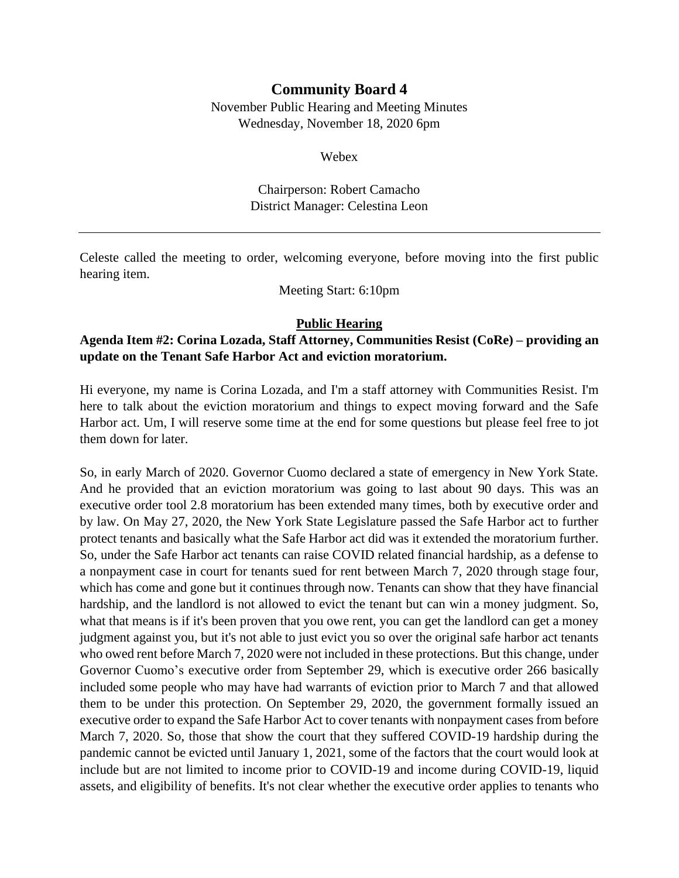# **Community Board 4**

November Public Hearing and Meeting Minutes Wednesday, November 18, 2020 6pm

Webex

Chairperson: Robert Camacho District Manager: Celestina Leon

Celeste called the meeting to order, welcoming everyone, before moving into the first public hearing item.

Meeting Start: 6:10pm

#### **Public Hearing**

## **Agenda Item #2: Corina Lozada, Staff Attorney, Communities Resist (CoRe) – providing an update on the Tenant Safe Harbor Act and eviction moratorium.**

Hi everyone, my name is Corina Lozada, and I'm a staff attorney with Communities Resist. I'm here to talk about the eviction moratorium and things to expect moving forward and the Safe Harbor act. Um, I will reserve some time at the end for some questions but please feel free to jot them down for later.

So, in early March of 2020. Governor Cuomo declared a state of emergency in New York State. And he provided that an eviction moratorium was going to last about 90 days. This was an executive order tool 2.8 moratorium has been extended many times, both by executive order and by law. On May 27, 2020, the New York State Legislature passed the Safe Harbor act to further protect tenants and basically what the Safe Harbor act did was it extended the moratorium further. So, under the Safe Harbor act tenants can raise COVID related financial hardship, as a defense to a nonpayment case in court for tenants sued for rent between March 7, 2020 through stage four, which has come and gone but it continues through now. Tenants can show that they have financial hardship, and the landlord is not allowed to evict the tenant but can win a money judgment. So, what that means is if it's been proven that you owe rent, you can get the landlord can get a money judgment against you, but it's not able to just evict you so over the original safe harbor act tenants who owed rent before March 7, 2020 were not included in these protections. But this change, under Governor Cuomo's executive order from September 29, which is executive order 266 basically included some people who may have had warrants of eviction prior to March 7 and that allowed them to be under this protection. On September 29, 2020, the government formally issued an executive order to expand the Safe Harbor Act to cover tenants with nonpayment cases from before March 7, 2020. So, those that show the court that they suffered COVID-19 hardship during the pandemic cannot be evicted until January 1, 2021, some of the factors that the court would look at include but are not limited to income prior to COVID-19 and income during COVID-19, liquid assets, and eligibility of benefits. It's not clear whether the executive order applies to tenants who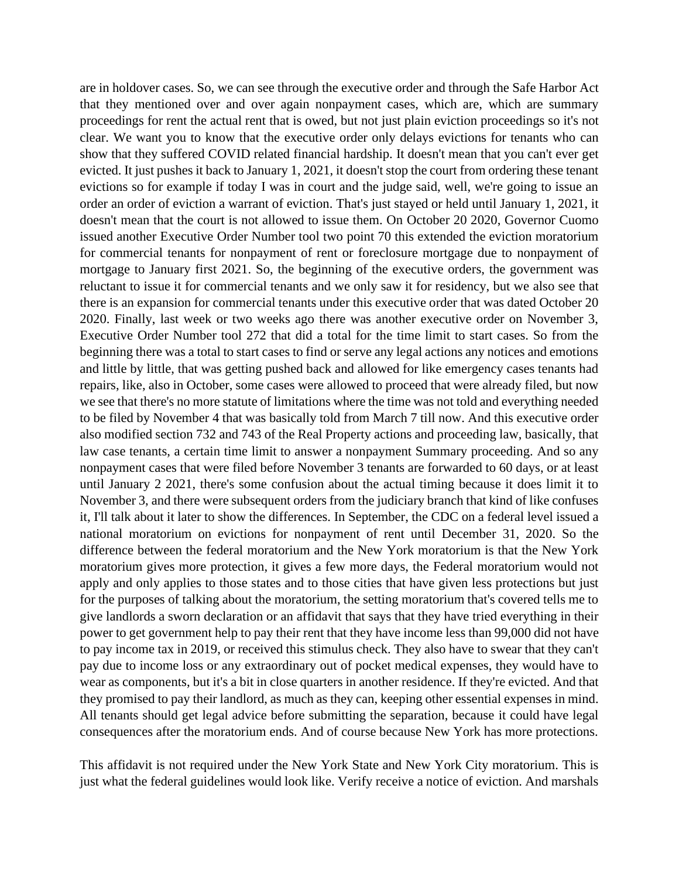are in holdover cases. So, we can see through the executive order and through the Safe Harbor Act that they mentioned over and over again nonpayment cases, which are, which are summary proceedings for rent the actual rent that is owed, but not just plain eviction proceedings so it's not clear. We want you to know that the executive order only delays evictions for tenants who can show that they suffered COVID related financial hardship. It doesn't mean that you can't ever get evicted. It just pushes it back to January 1, 2021, it doesn't stop the court from ordering these tenant evictions so for example if today I was in court and the judge said, well, we're going to issue an order an order of eviction a warrant of eviction. That's just stayed or held until January 1, 2021, it doesn't mean that the court is not allowed to issue them. On October 20 2020, Governor Cuomo issued another Executive Order Number tool two point 70 this extended the eviction moratorium for commercial tenants for nonpayment of rent or foreclosure mortgage due to nonpayment of mortgage to January first 2021. So, the beginning of the executive orders, the government was reluctant to issue it for commercial tenants and we only saw it for residency, but we also see that there is an expansion for commercial tenants under this executive order that was dated October 20 2020. Finally, last week or two weeks ago there was another executive order on November 3, Executive Order Number tool 272 that did a total for the time limit to start cases. So from the beginning there was a total to start cases to find or serve any legal actions any notices and emotions and little by little, that was getting pushed back and allowed for like emergency cases tenants had repairs, like, also in October, some cases were allowed to proceed that were already filed, but now we see that there's no more statute of limitations where the time was not told and everything needed to be filed by November 4 that was basically told from March 7 till now. And this executive order also modified section 732 and 743 of the Real Property actions and proceeding law, basically, that law case tenants, a certain time limit to answer a nonpayment Summary proceeding. And so any nonpayment cases that were filed before November 3 tenants are forwarded to 60 days, or at least until January 2 2021, there's some confusion about the actual timing because it does limit it to November 3, and there were subsequent orders from the judiciary branch that kind of like confuses it, I'll talk about it later to show the differences. In September, the CDC on a federal level issued a national moratorium on evictions for nonpayment of rent until December 31, 2020. So the difference between the federal moratorium and the New York moratorium is that the New York moratorium gives more protection, it gives a few more days, the Federal moratorium would not apply and only applies to those states and to those cities that have given less protections but just for the purposes of talking about the moratorium, the setting moratorium that's covered tells me to give landlords a sworn declaration or an affidavit that says that they have tried everything in their power to get government help to pay their rent that they have income less than 99,000 did not have to pay income tax in 2019, or received this stimulus check. They also have to swear that they can't pay due to income loss or any extraordinary out of pocket medical expenses, they would have to wear as components, but it's a bit in close quarters in another residence. If they're evicted. And that they promised to pay their landlord, as much as they can, keeping other essential expenses in mind. All tenants should get legal advice before submitting the separation, because it could have legal consequences after the moratorium ends. And of course because New York has more protections.

This affidavit is not required under the New York State and New York City moratorium. This is just what the federal guidelines would look like. Verify receive a notice of eviction. And marshals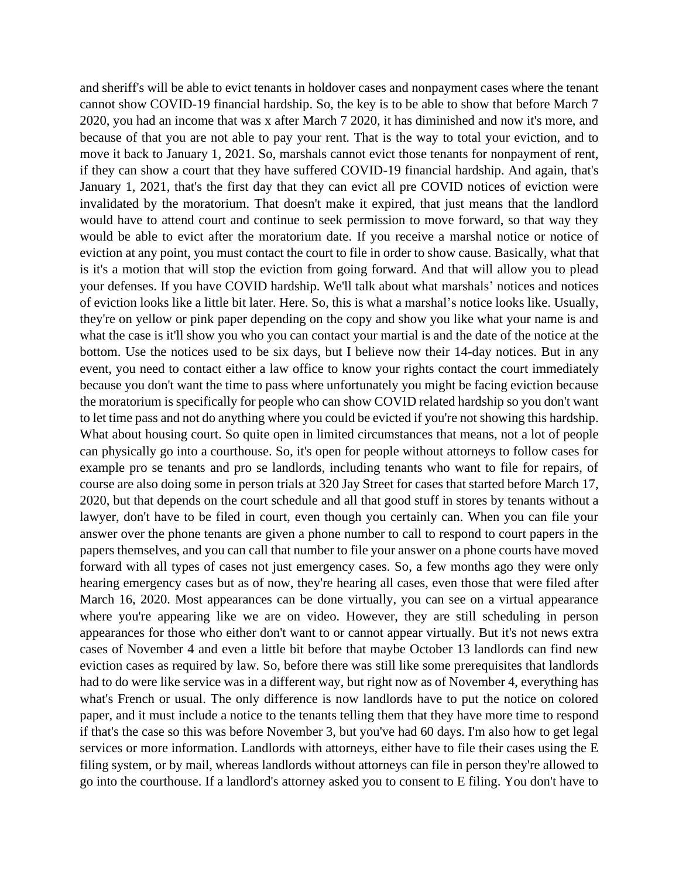and sheriff's will be able to evict tenants in holdover cases and nonpayment cases where the tenant cannot show COVID-19 financial hardship. So, the key is to be able to show that before March 7 2020, you had an income that was x after March 7 2020, it has diminished and now it's more, and because of that you are not able to pay your rent. That is the way to total your eviction, and to move it back to January 1, 2021. So, marshals cannot evict those tenants for nonpayment of rent, if they can show a court that they have suffered COVID-19 financial hardship. And again, that's January 1, 2021, that's the first day that they can evict all pre COVID notices of eviction were invalidated by the moratorium. That doesn't make it expired, that just means that the landlord would have to attend court and continue to seek permission to move forward, so that way they would be able to evict after the moratorium date. If you receive a marshal notice or notice of eviction at any point, you must contact the court to file in order to show cause. Basically, what that is it's a motion that will stop the eviction from going forward. And that will allow you to plead your defenses. If you have COVID hardship. We'll talk about what marshals' notices and notices of eviction looks like a little bit later. Here. So, this is what a marshal's notice looks like. Usually, they're on yellow or pink paper depending on the copy and show you like what your name is and what the case is it'll show you who you can contact your martial is and the date of the notice at the bottom. Use the notices used to be six days, but I believe now their 14-day notices. But in any event, you need to contact either a law office to know your rights contact the court immediately because you don't want the time to pass where unfortunately you might be facing eviction because the moratorium is specifically for people who can show COVID related hardship so you don't want to let time pass and not do anything where you could be evicted if you're not showing this hardship. What about housing court. So quite open in limited circumstances that means, not a lot of people can physically go into a courthouse. So, it's open for people without attorneys to follow cases for example pro se tenants and pro se landlords, including tenants who want to file for repairs, of course are also doing some in person trials at 320 Jay Street for cases that started before March 17, 2020, but that depends on the court schedule and all that good stuff in stores by tenants without a lawyer, don't have to be filed in court, even though you certainly can. When you can file your answer over the phone tenants are given a phone number to call to respond to court papers in the papers themselves, and you can call that number to file your answer on a phone courts have moved forward with all types of cases not just emergency cases. So, a few months ago they were only hearing emergency cases but as of now, they're hearing all cases, even those that were filed after March 16, 2020. Most appearances can be done virtually, you can see on a virtual appearance where you're appearing like we are on video. However, they are still scheduling in person appearances for those who either don't want to or cannot appear virtually. But it's not news extra cases of November 4 and even a little bit before that maybe October 13 landlords can find new eviction cases as required by law. So, before there was still like some prerequisites that landlords had to do were like service was in a different way, but right now as of November 4, everything has what's French or usual. The only difference is now landlords have to put the notice on colored paper, and it must include a notice to the tenants telling them that they have more time to respond if that's the case so this was before November 3, but you've had 60 days. I'm also how to get legal services or more information. Landlords with attorneys, either have to file their cases using the E filing system, or by mail, whereas landlords without attorneys can file in person they're allowed to go into the courthouse. If a landlord's attorney asked you to consent to E filing. You don't have to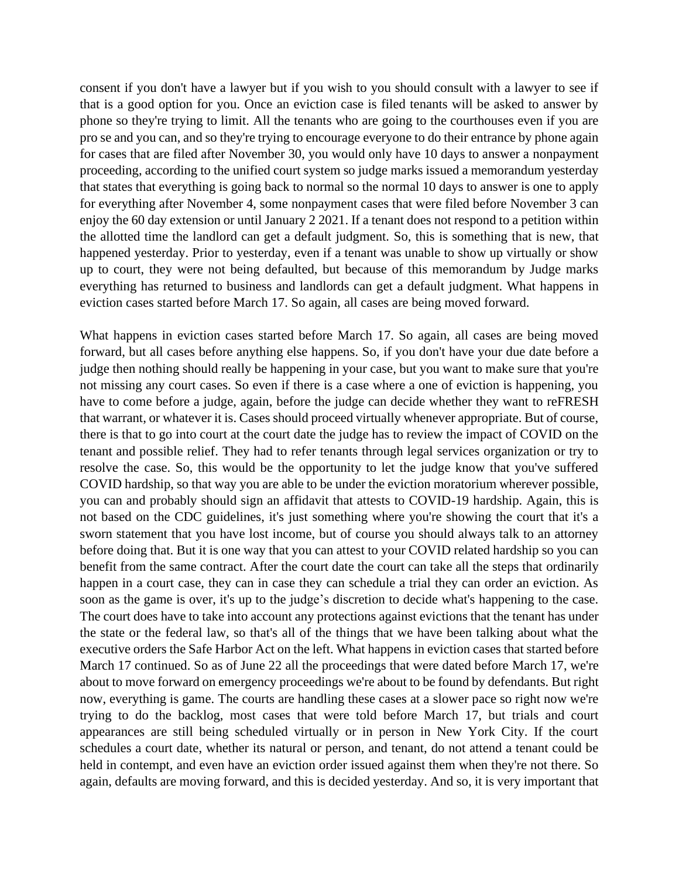consent if you don't have a lawyer but if you wish to you should consult with a lawyer to see if that is a good option for you. Once an eviction case is filed tenants will be asked to answer by phone so they're trying to limit. All the tenants who are going to the courthouses even if you are pro se and you can, and so they're trying to encourage everyone to do their entrance by phone again for cases that are filed after November 30, you would only have 10 days to answer a nonpayment proceeding, according to the unified court system so judge marks issued a memorandum yesterday that states that everything is going back to normal so the normal 10 days to answer is one to apply for everything after November 4, some nonpayment cases that were filed before November 3 can enjoy the 60 day extension or until January 2 2021. If a tenant does not respond to a petition within the allotted time the landlord can get a default judgment. So, this is something that is new, that happened yesterday. Prior to yesterday, even if a tenant was unable to show up virtually or show up to court, they were not being defaulted, but because of this memorandum by Judge marks everything has returned to business and landlords can get a default judgment. What happens in eviction cases started before March 17. So again, all cases are being moved forward.

What happens in eviction cases started before March 17. So again, all cases are being moved forward, but all cases before anything else happens. So, if you don't have your due date before a judge then nothing should really be happening in your case, but you want to make sure that you're not missing any court cases. So even if there is a case where a one of eviction is happening, you have to come before a judge, again, before the judge can decide whether they want to reFRESH that warrant, or whatever it is. Cases should proceed virtually whenever appropriate. But of course, there is that to go into court at the court date the judge has to review the impact of COVID on the tenant and possible relief. They had to refer tenants through legal services organization or try to resolve the case. So, this would be the opportunity to let the judge know that you've suffered COVID hardship, so that way you are able to be under the eviction moratorium wherever possible, you can and probably should sign an affidavit that attests to COVID-19 hardship. Again, this is not based on the CDC guidelines, it's just something where you're showing the court that it's a sworn statement that you have lost income, but of course you should always talk to an attorney before doing that. But it is one way that you can attest to your COVID related hardship so you can benefit from the same contract. After the court date the court can take all the steps that ordinarily happen in a court case, they can in case they can schedule a trial they can order an eviction. As soon as the game is over, it's up to the judge's discretion to decide what's happening to the case. The court does have to take into account any protections against evictions that the tenant has under the state or the federal law, so that's all of the things that we have been talking about what the executive orders the Safe Harbor Act on the left. What happens in eviction cases that started before March 17 continued. So as of June 22 all the proceedings that were dated before March 17, we're about to move forward on emergency proceedings we're about to be found by defendants. But right now, everything is game. The courts are handling these cases at a slower pace so right now we're trying to do the backlog, most cases that were told before March 17, but trials and court appearances are still being scheduled virtually or in person in New York City. If the court schedules a court date, whether its natural or person, and tenant, do not attend a tenant could be held in contempt, and even have an eviction order issued against them when they're not there. So again, defaults are moving forward, and this is decided yesterday. And so, it is very important that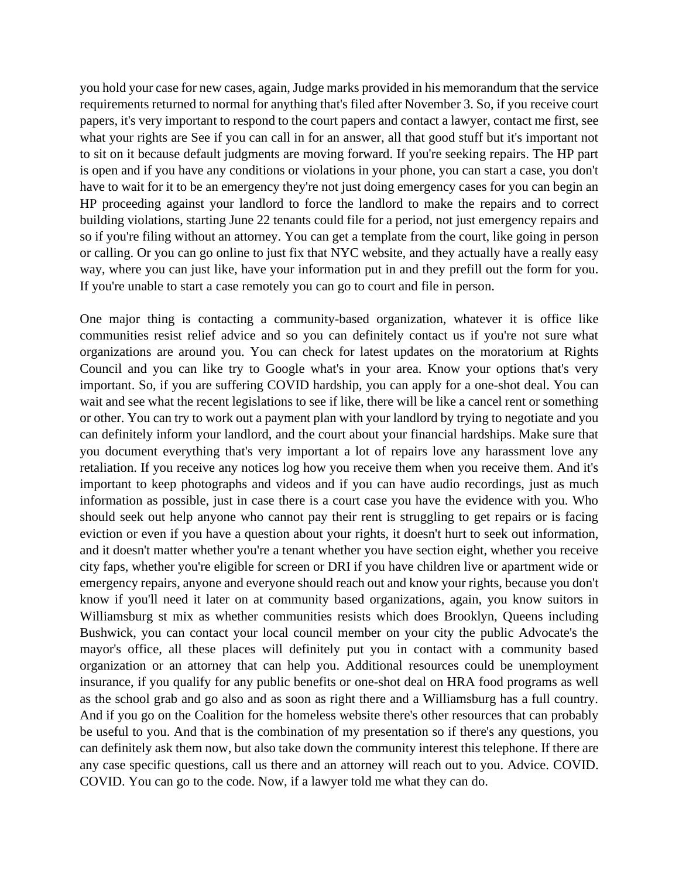you hold your case for new cases, again, Judge marks provided in his memorandum that the service requirements returned to normal for anything that's filed after November 3. So, if you receive court papers, it's very important to respond to the court papers and contact a lawyer, contact me first, see what your rights are See if you can call in for an answer, all that good stuff but it's important not to sit on it because default judgments are moving forward. If you're seeking repairs. The HP part is open and if you have any conditions or violations in your phone, you can start a case, you don't have to wait for it to be an emergency they're not just doing emergency cases for you can begin an HP proceeding against your landlord to force the landlord to make the repairs and to correct building violations, starting June 22 tenants could file for a period, not just emergency repairs and so if you're filing without an attorney. You can get a template from the court, like going in person or calling. Or you can go online to just fix that NYC website, and they actually have a really easy way, where you can just like, have your information put in and they prefill out the form for you. If you're unable to start a case remotely you can go to court and file in person.

One major thing is contacting a community-based organization, whatever it is office like communities resist relief advice and so you can definitely contact us if you're not sure what organizations are around you. You can check for latest updates on the moratorium at Rights Council and you can like try to Google what's in your area. Know your options that's very important. So, if you are suffering COVID hardship, you can apply for a one-shot deal. You can wait and see what the recent legislations to see if like, there will be like a cancel rent or something or other. You can try to work out a payment plan with your landlord by trying to negotiate and you can definitely inform your landlord, and the court about your financial hardships. Make sure that you document everything that's very important a lot of repairs love any harassment love any retaliation. If you receive any notices log how you receive them when you receive them. And it's important to keep photographs and videos and if you can have audio recordings, just as much information as possible, just in case there is a court case you have the evidence with you. Who should seek out help anyone who cannot pay their rent is struggling to get repairs or is facing eviction or even if you have a question about your rights, it doesn't hurt to seek out information, and it doesn't matter whether you're a tenant whether you have section eight, whether you receive city faps, whether you're eligible for screen or DRI if you have children live or apartment wide or emergency repairs, anyone and everyone should reach out and know your rights, because you don't know if you'll need it later on at community based organizations, again, you know suitors in Williamsburg st mix as whether communities resists which does Brooklyn, Queens including Bushwick, you can contact your local council member on your city the public Advocate's the mayor's office, all these places will definitely put you in contact with a community based organization or an attorney that can help you. Additional resources could be unemployment insurance, if you qualify for any public benefits or one-shot deal on HRA food programs as well as the school grab and go also and as soon as right there and a Williamsburg has a full country. And if you go on the Coalition for the homeless website there's other resources that can probably be useful to you. And that is the combination of my presentation so if there's any questions, you can definitely ask them now, but also take down the community interest this telephone. If there are any case specific questions, call us there and an attorney will reach out to you. Advice. COVID. COVID. You can go to the code. Now, if a lawyer told me what they can do.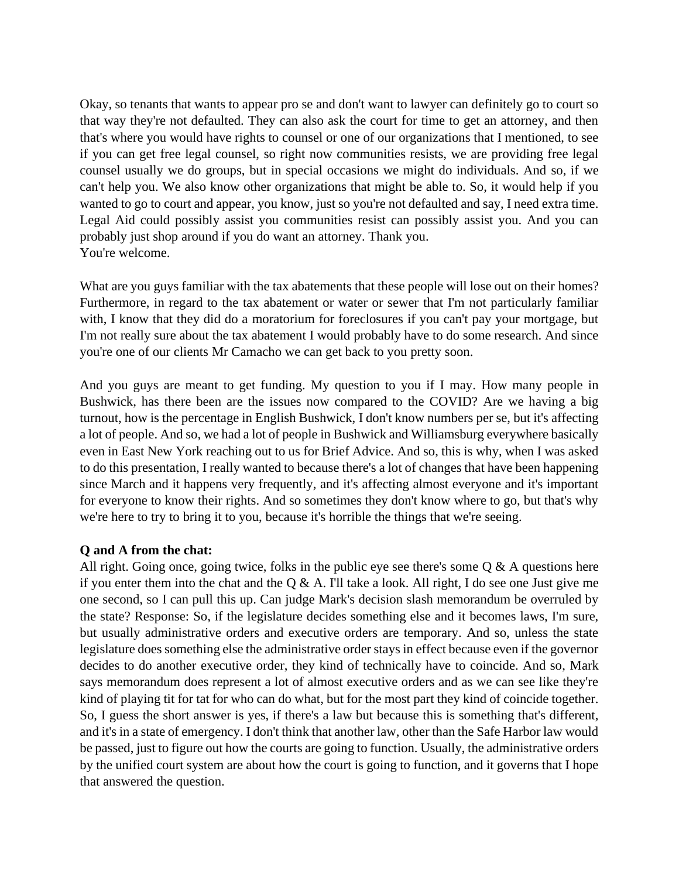Okay, so tenants that wants to appear pro se and don't want to lawyer can definitely go to court so that way they're not defaulted. They can also ask the court for time to get an attorney, and then that's where you would have rights to counsel or one of our organizations that I mentioned, to see if you can get free legal counsel, so right now communities resists, we are providing free legal counsel usually we do groups, but in special occasions we might do individuals. And so, if we can't help you. We also know other organizations that might be able to. So, it would help if you wanted to go to court and appear, you know, just so you're not defaulted and say, I need extra time. Legal Aid could possibly assist you communities resist can possibly assist you. And you can probably just shop around if you do want an attorney. Thank you. You're welcome.

What are you guys familiar with the tax abatements that these people will lose out on their homes? Furthermore, in regard to the tax abatement or water or sewer that I'm not particularly familiar with, I know that they did do a moratorium for foreclosures if you can't pay your mortgage, but I'm not really sure about the tax abatement I would probably have to do some research. And since you're one of our clients Mr Camacho we can get back to you pretty soon.

And you guys are meant to get funding. My question to you if I may. How many people in Bushwick, has there been are the issues now compared to the COVID? Are we having a big turnout, how is the percentage in English Bushwick, I don't know numbers per se, but it's affecting a lot of people. And so, we had a lot of people in Bushwick and Williamsburg everywhere basically even in East New York reaching out to us for Brief Advice. And so, this is why, when I was asked to do this presentation, I really wanted to because there's a lot of changes that have been happening since March and it happens very frequently, and it's affecting almost everyone and it's important for everyone to know their rights. And so sometimes they don't know where to go, but that's why we're here to try to bring it to you, because it's horrible the things that we're seeing.

## **Q and A from the chat:**

All right. Going once, going twice, folks in the public eye see there's some  $Q \& A$  questions here if you enter them into the chat and the  $Q & A$ . I'll take a look. All right, I do see one Just give me one second, so I can pull this up. Can judge Mark's decision slash memorandum be overruled by the state? Response: So, if the legislature decides something else and it becomes laws, I'm sure, but usually administrative orders and executive orders are temporary. And so, unless the state legislature does something else the administrative order stays in effect because even if the governor decides to do another executive order, they kind of technically have to coincide. And so, Mark says memorandum does represent a lot of almost executive orders and as we can see like they're kind of playing tit for tat for who can do what, but for the most part they kind of coincide together. So, I guess the short answer is yes, if there's a law but because this is something that's different, and it's in a state of emergency. I don't think that another law, other than the Safe Harbor law would be passed, just to figure out how the courts are going to function. Usually, the administrative orders by the unified court system are about how the court is going to function, and it governs that I hope that answered the question.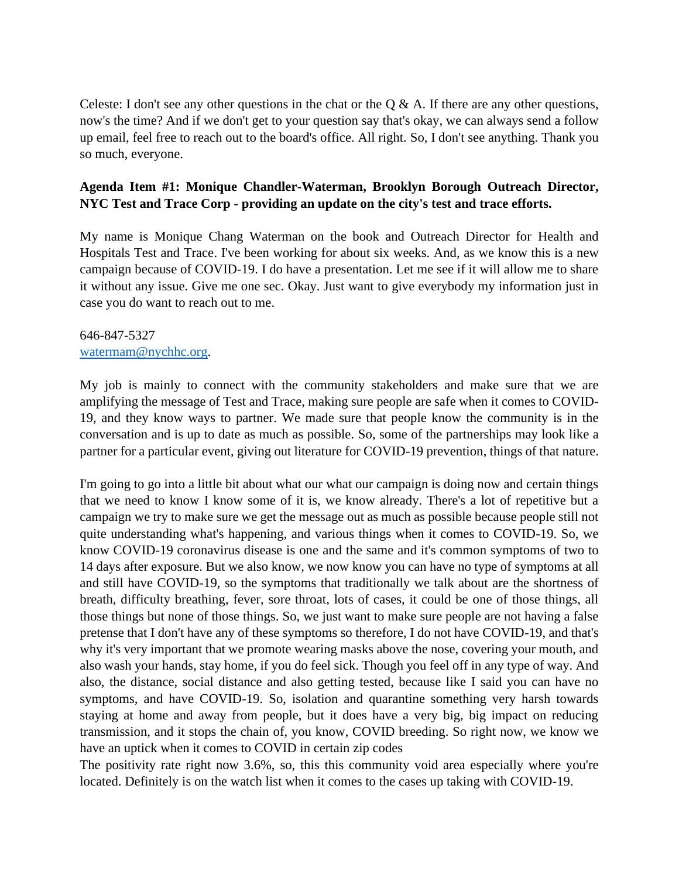Celeste: I don't see any other questions in the chat or the Q & A. If there are any other questions, now's the time? And if we don't get to your question say that's okay, we can always send a follow up email, feel free to reach out to the board's office. All right. So, I don't see anything. Thank you so much, everyone.

## **Agenda Item #1: Monique Chandler-Waterman, Brooklyn Borough Outreach Director, NYC Test and Trace Corp - providing an update on the city's test and trace efforts.**

My name is Monique Chang Waterman on the book and Outreach Director for Health and Hospitals Test and Trace. I've been working for about six weeks. And, as we know this is a new campaign because of COVID-19. I do have a presentation. Let me see if it will allow me to share it without any issue. Give me one sec. Okay. Just want to give everybody my information just in case you do want to reach out to me.

#### 646-847-5327 [watermam@nychhc.org.](mailto:watermam@nychhc.org)

My job is mainly to connect with the community stakeholders and make sure that we are amplifying the message of Test and Trace, making sure people are safe when it comes to COVID-19, and they know ways to partner. We made sure that people know the community is in the conversation and is up to date as much as possible. So, some of the partnerships may look like a partner for a particular event, giving out literature for COVID-19 prevention, things of that nature.

I'm going to go into a little bit about what our what our campaign is doing now and certain things that we need to know I know some of it is, we know already. There's a lot of repetitive but a campaign we try to make sure we get the message out as much as possible because people still not quite understanding what's happening, and various things when it comes to COVID-19. So, we know COVID-19 coronavirus disease is one and the same and it's common symptoms of two to 14 days after exposure. But we also know, we now know you can have no type of symptoms at all and still have COVID-19, so the symptoms that traditionally we talk about are the shortness of breath, difficulty breathing, fever, sore throat, lots of cases, it could be one of those things, all those things but none of those things. So, we just want to make sure people are not having a false pretense that I don't have any of these symptoms so therefore, I do not have COVID-19, and that's why it's very important that we promote wearing masks above the nose, covering your mouth, and also wash your hands, stay home, if you do feel sick. Though you feel off in any type of way. And also, the distance, social distance and also getting tested, because like I said you can have no symptoms, and have COVID-19. So, isolation and quarantine something very harsh towards staying at home and away from people, but it does have a very big, big impact on reducing transmission, and it stops the chain of, you know, COVID breeding. So right now, we know we have an uptick when it comes to COVID in certain zip codes

The positivity rate right now 3.6%, so, this this community void area especially where you're located. Definitely is on the watch list when it comes to the cases up taking with COVID-19.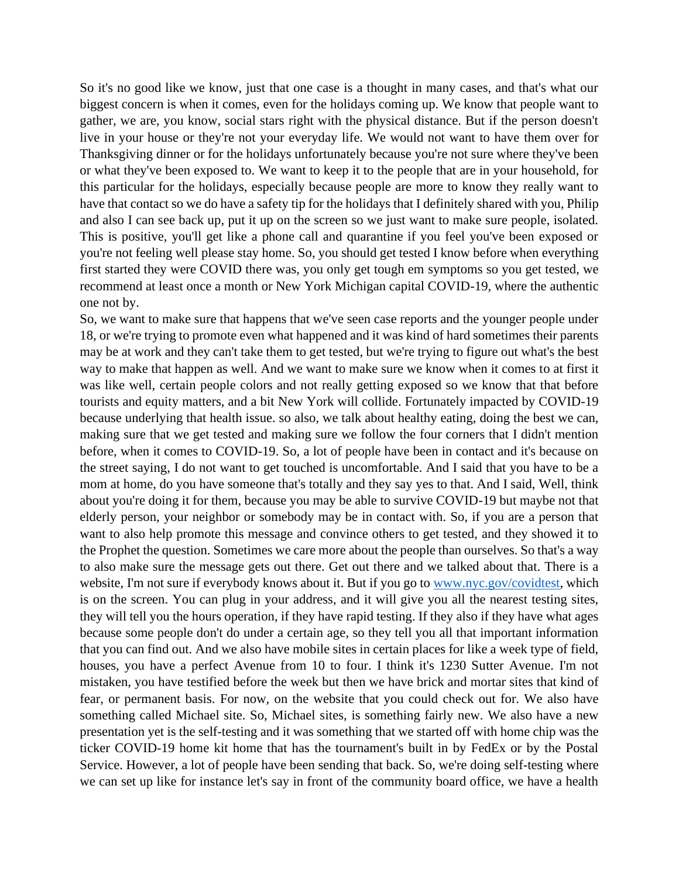So it's no good like we know, just that one case is a thought in many cases, and that's what our biggest concern is when it comes, even for the holidays coming up. We know that people want to gather, we are, you know, social stars right with the physical distance. But if the person doesn't live in your house or they're not your everyday life. We would not want to have them over for Thanksgiving dinner or for the holidays unfortunately because you're not sure where they've been or what they've been exposed to. We want to keep it to the people that are in your household, for this particular for the holidays, especially because people are more to know they really want to have that contact so we do have a safety tip for the holidays that I definitely shared with you, Philip and also I can see back up, put it up on the screen so we just want to make sure people, isolated. This is positive, you'll get like a phone call and quarantine if you feel you've been exposed or you're not feeling well please stay home. So, you should get tested I know before when everything first started they were COVID there was, you only get tough em symptoms so you get tested, we recommend at least once a month or New York Michigan capital COVID-19, where the authentic one not by.

So, we want to make sure that happens that we've seen case reports and the younger people under 18, or we're trying to promote even what happened and it was kind of hard sometimes their parents may be at work and they can't take them to get tested, but we're trying to figure out what's the best way to make that happen as well. And we want to make sure we know when it comes to at first it was like well, certain people colors and not really getting exposed so we know that that before tourists and equity matters, and a bit New York will collide. Fortunately impacted by COVID-19 because underlying that health issue. so also, we talk about healthy eating, doing the best we can, making sure that we get tested and making sure we follow the four corners that I didn't mention before, when it comes to COVID-19. So, a lot of people have been in contact and it's because on the street saying, I do not want to get touched is uncomfortable. And I said that you have to be a mom at home, do you have someone that's totally and they say yes to that. And I said, Well, think about you're doing it for them, because you may be able to survive COVID-19 but maybe not that elderly person, your neighbor or somebody may be in contact with. So, if you are a person that want to also help promote this message and convince others to get tested, and they showed it to the Prophet the question. Sometimes we care more about the people than ourselves. So that's a way to also make sure the message gets out there. Get out there and we talked about that. There is a website, I'm not sure if everybody knows about it. But if you go to [www.nyc.gov/covidtest,](http://www.nyc.gov/covidtest) which is on the screen. You can plug in your address, and it will give you all the nearest testing sites, they will tell you the hours operation, if they have rapid testing. If they also if they have what ages because some people don't do under a certain age, so they tell you all that important information that you can find out. And we also have mobile sites in certain places for like a week type of field, houses, you have a perfect Avenue from 10 to four. I think it's 1230 Sutter Avenue. I'm not mistaken, you have testified before the week but then we have brick and mortar sites that kind of fear, or permanent basis. For now, on the website that you could check out for. We also have something called Michael site. So, Michael sites, is something fairly new. We also have a new presentation yet is the self-testing and it was something that we started off with home chip was the ticker COVID-19 home kit home that has the tournament's built in by FedEx or by the Postal Service. However, a lot of people have been sending that back. So, we're doing self-testing where we can set up like for instance let's say in front of the community board office, we have a health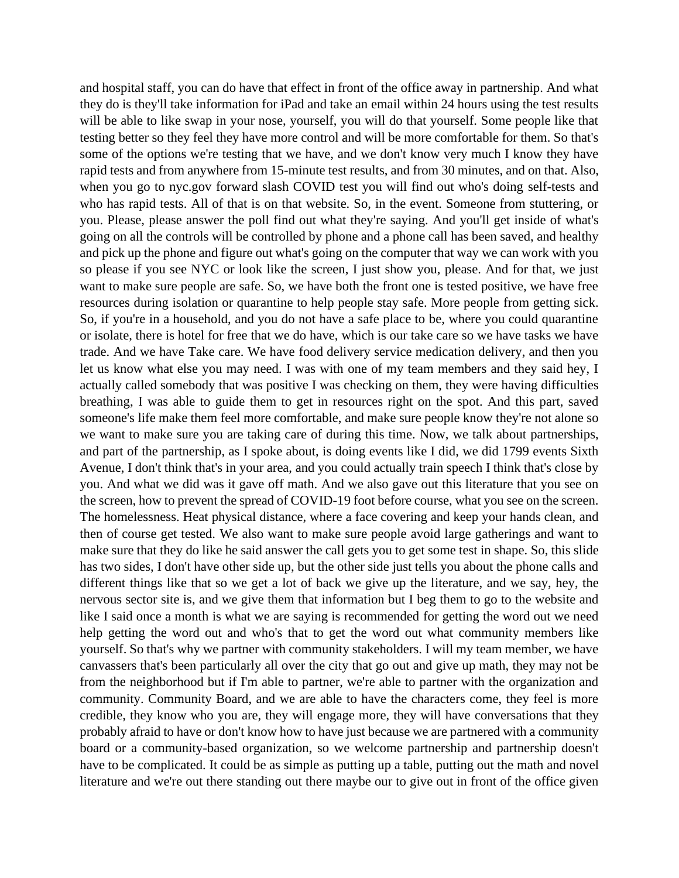and hospital staff, you can do have that effect in front of the office away in partnership. And what they do is they'll take information for iPad and take an email within 24 hours using the test results will be able to like swap in your nose, yourself, you will do that yourself. Some people like that testing better so they feel they have more control and will be more comfortable for them. So that's some of the options we're testing that we have, and we don't know very much I know they have rapid tests and from anywhere from 15-minute test results, and from 30 minutes, and on that. Also, when you go to nyc.gov forward slash COVID test you will find out who's doing self-tests and who has rapid tests. All of that is on that website. So, in the event. Someone from stuttering, or you. Please, please answer the poll find out what they're saying. And you'll get inside of what's going on all the controls will be controlled by phone and a phone call has been saved, and healthy and pick up the phone and figure out what's going on the computer that way we can work with you so please if you see NYC or look like the screen, I just show you, please. And for that, we just want to make sure people are safe. So, we have both the front one is tested positive, we have free resources during isolation or quarantine to help people stay safe. More people from getting sick. So, if you're in a household, and you do not have a safe place to be, where you could quarantine or isolate, there is hotel for free that we do have, which is our take care so we have tasks we have trade. And we have Take care. We have food delivery service medication delivery, and then you let us know what else you may need. I was with one of my team members and they said hey, I actually called somebody that was positive I was checking on them, they were having difficulties breathing, I was able to guide them to get in resources right on the spot. And this part, saved someone's life make them feel more comfortable, and make sure people know they're not alone so we want to make sure you are taking care of during this time. Now, we talk about partnerships, and part of the partnership, as I spoke about, is doing events like I did, we did 1799 events Sixth Avenue, I don't think that's in your area, and you could actually train speech I think that's close by you. And what we did was it gave off math. And we also gave out this literature that you see on the screen, how to prevent the spread of COVID-19 foot before course, what you see on the screen. The homelessness. Heat physical distance, where a face covering and keep your hands clean, and then of course get tested. We also want to make sure people avoid large gatherings and want to make sure that they do like he said answer the call gets you to get some test in shape. So, this slide has two sides, I don't have other side up, but the other side just tells you about the phone calls and different things like that so we get a lot of back we give up the literature, and we say, hey, the nervous sector site is, and we give them that information but I beg them to go to the website and like I said once a month is what we are saying is recommended for getting the word out we need help getting the word out and who's that to get the word out what community members like yourself. So that's why we partner with community stakeholders. I will my team member, we have canvassers that's been particularly all over the city that go out and give up math, they may not be from the neighborhood but if I'm able to partner, we're able to partner with the organization and community. Community Board, and we are able to have the characters come, they feel is more credible, they know who you are, they will engage more, they will have conversations that they probably afraid to have or don't know how to have just because we are partnered with a community board or a community-based organization, so we welcome partnership and partnership doesn't have to be complicated. It could be as simple as putting up a table, putting out the math and novel literature and we're out there standing out there maybe our to give out in front of the office given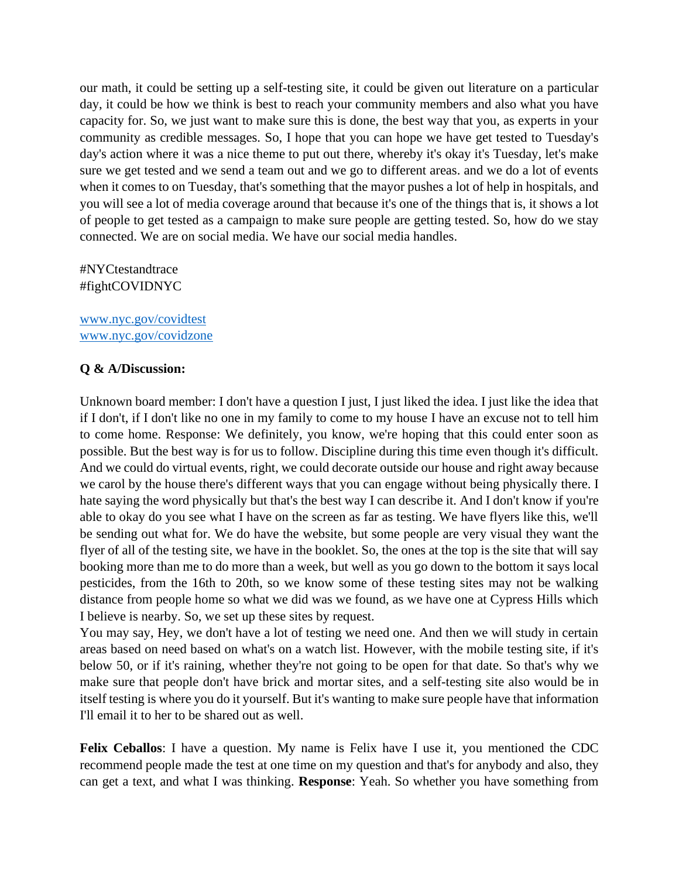our math, it could be setting up a self-testing site, it could be given out literature on a particular day, it could be how we think is best to reach your community members and also what you have capacity for. So, we just want to make sure this is done, the best way that you, as experts in your community as credible messages. So, I hope that you can hope we have get tested to Tuesday's day's action where it was a nice theme to put out there, whereby it's okay it's Tuesday, let's make sure we get tested and we send a team out and we go to different areas. and we do a lot of events when it comes to on Tuesday, that's something that the mayor pushes a lot of help in hospitals, and you will see a lot of media coverage around that because it's one of the things that is, it shows a lot of people to get tested as a campaign to make sure people are getting tested. So, how do we stay connected. We are on social media. We have our social media handles.

## #NYCtestandtrace #fightCOVIDNYC

[www.nyc.gov/covidtest](http://www.nyc.gov/covidtest) [www.nyc.gov/covidzone](http://www.nyc.gov/covidzone)

## **Q & A/Discussion:**

Unknown board member: I don't have a question I just, I just liked the idea. I just like the idea that if I don't, if I don't like no one in my family to come to my house I have an excuse not to tell him to come home. Response: We definitely, you know, we're hoping that this could enter soon as possible. But the best way is for us to follow. Discipline during this time even though it's difficult. And we could do virtual events, right, we could decorate outside our house and right away because we carol by the house there's different ways that you can engage without being physically there. I hate saying the word physically but that's the best way I can describe it. And I don't know if you're able to okay do you see what I have on the screen as far as testing. We have flyers like this, we'll be sending out what for. We do have the website, but some people are very visual they want the flyer of all of the testing site, we have in the booklet. So, the ones at the top is the site that will say booking more than me to do more than a week, but well as you go down to the bottom it says local pesticides, from the 16th to 20th, so we know some of these testing sites may not be walking distance from people home so what we did was we found, as we have one at Cypress Hills which I believe is nearby. So, we set up these sites by request.

You may say, Hey, we don't have a lot of testing we need one. And then we will study in certain areas based on need based on what's on a watch list. However, with the mobile testing site, if it's below 50, or if it's raining, whether they're not going to be open for that date. So that's why we make sure that people don't have brick and mortar sites, and a self-testing site also would be in itself testing is where you do it yourself. But it's wanting to make sure people have that information I'll email it to her to be shared out as well.

**Felix Ceballos**: I have a question. My name is Felix have I use it, you mentioned the CDC recommend people made the test at one time on my question and that's for anybody and also, they can get a text, and what I was thinking. **Response**: Yeah. So whether you have something from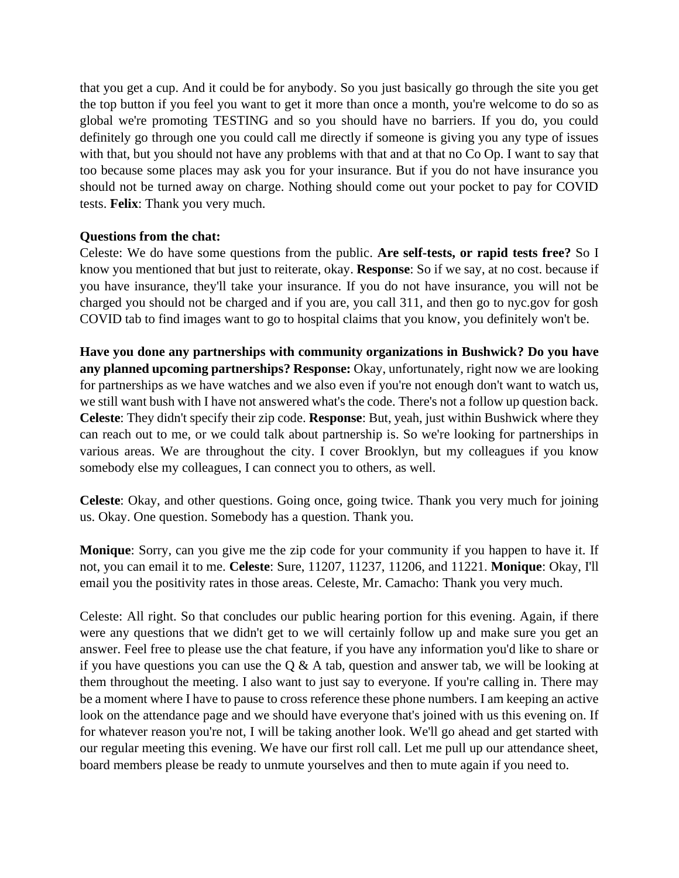that you get a cup. And it could be for anybody. So you just basically go through the site you get the top button if you feel you want to get it more than once a month, you're welcome to do so as global we're promoting TESTING and so you should have no barriers. If you do, you could definitely go through one you could call me directly if someone is giving you any type of issues with that, but you should not have any problems with that and at that no Co Op. I want to say that too because some places may ask you for your insurance. But if you do not have insurance you should not be turned away on charge. Nothing should come out your pocket to pay for COVID tests. **Felix**: Thank you very much.

#### **Questions from the chat:**

Celeste: We do have some questions from the public. **Are self-tests, or rapid tests free?** So I know you mentioned that but just to reiterate, okay. **Response**: So if we say, at no cost. because if you have insurance, they'll take your insurance. If you do not have insurance, you will not be charged you should not be charged and if you are, you call 311, and then go to nyc.gov for gosh COVID tab to find images want to go to hospital claims that you know, you definitely won't be.

**Have you done any partnerships with community organizations in Bushwick? Do you have**  any planned upcoming partnerships? Response: Okay, unfortunately, right now we are looking for partnerships as we have watches and we also even if you're not enough don't want to watch us, we still want bush with I have not answered what's the code. There's not a follow up question back. **Celeste**: They didn't specify their zip code. **Response**: But, yeah, just within Bushwick where they can reach out to me, or we could talk about partnership is. So we're looking for partnerships in various areas. We are throughout the city. I cover Brooklyn, but my colleagues if you know somebody else my colleagues, I can connect you to others, as well.

**Celeste**: Okay, and other questions. Going once, going twice. Thank you very much for joining us. Okay. One question. Somebody has a question. Thank you.

**Monique**: Sorry, can you give me the zip code for your community if you happen to have it. If not, you can email it to me. **Celeste**: Sure, 11207, 11237, 11206, and 11221. **Monique**: Okay, I'll email you the positivity rates in those areas. Celeste, Mr. Camacho: Thank you very much.

Celeste: All right. So that concludes our public hearing portion for this evening. Again, if there were any questions that we didn't get to we will certainly follow up and make sure you get an answer. Feel free to please use the chat feature, if you have any information you'd like to share or if you have questions you can use the  $\overline{Q}$  & A tab, question and answer tab, we will be looking at them throughout the meeting. I also want to just say to everyone. If you're calling in. There may be a moment where I have to pause to cross reference these phone numbers. I am keeping an active look on the attendance page and we should have everyone that's joined with us this evening on. If for whatever reason you're not, I will be taking another look. We'll go ahead and get started with our regular meeting this evening. We have our first roll call. Let me pull up our attendance sheet, board members please be ready to unmute yourselves and then to mute again if you need to.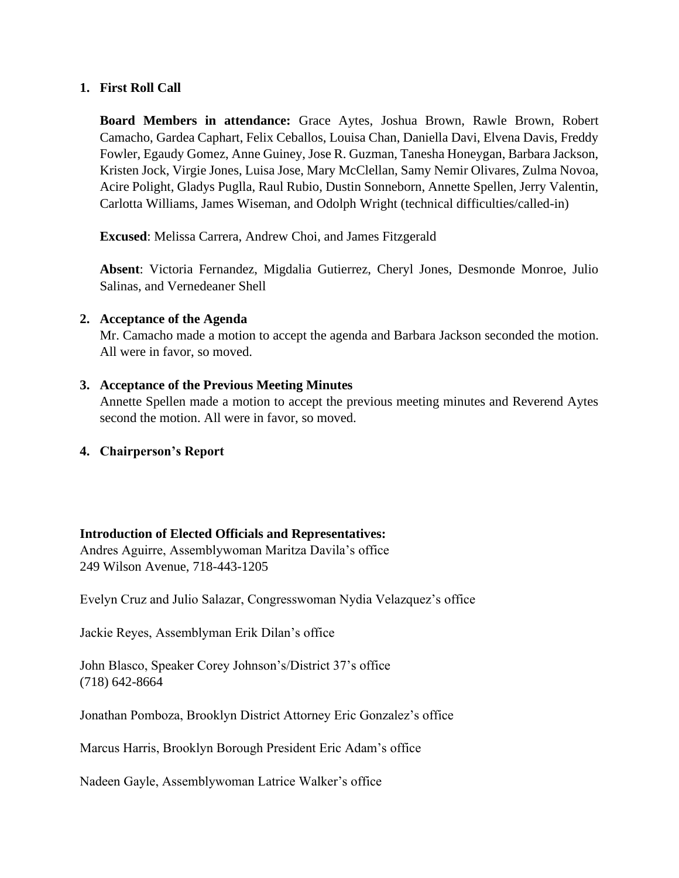#### **1. First Roll Call**

**Board Members in attendance:** Grace Aytes, Joshua Brown, Rawle Brown, Robert Camacho, Gardea Caphart, Felix Ceballos, Louisa Chan, Daniella Davi, Elvena Davis, Freddy Fowler, Egaudy Gomez, Anne Guiney, Jose R. Guzman, Tanesha Honeygan, Barbara Jackson, Kristen Jock, Virgie Jones, Luisa Jose, Mary McClellan, Samy Nemir Olivares, Zulma Novoa, Acire Polight, Gladys Puglla, Raul Rubio, Dustin Sonneborn, Annette Spellen, Jerry Valentin, Carlotta Williams, James Wiseman, and Odolph Wright (technical difficulties/called-in)

**Excused**: Melissa Carrera, Andrew Choi, and James Fitzgerald

**Absent**: Victoria Fernandez, Migdalia Gutierrez, Cheryl Jones, Desmonde Monroe, Julio Salinas, and Vernedeaner Shell

#### **2. Acceptance of the Agenda**

Mr. Camacho made a motion to accept the agenda and Barbara Jackson seconded the motion. All were in favor, so moved.

## **3. Acceptance of the Previous Meeting Minutes**

Annette Spellen made a motion to accept the previous meeting minutes and Reverend Aytes second the motion. All were in favor, so moved.

## **4. Chairperson's Report**

## **Introduction of Elected Officials and Representatives:**

Andres Aguirre, Assemblywoman Maritza Davila's office 249 Wilson Avenue, 718-443-1205

Evelyn Cruz and Julio Salazar, Congresswoman Nydia Velazquez's office

Jackie Reyes, Assemblyman Erik Dilan's office

John Blasco, Speaker Corey Johnson's/District 37's office (718) 642-8664

Jonathan Pomboza, Brooklyn District Attorney Eric Gonzalez's office

Marcus Harris, Brooklyn Borough President Eric Adam's office

Nadeen Gayle, Assemblywoman Latrice Walker's office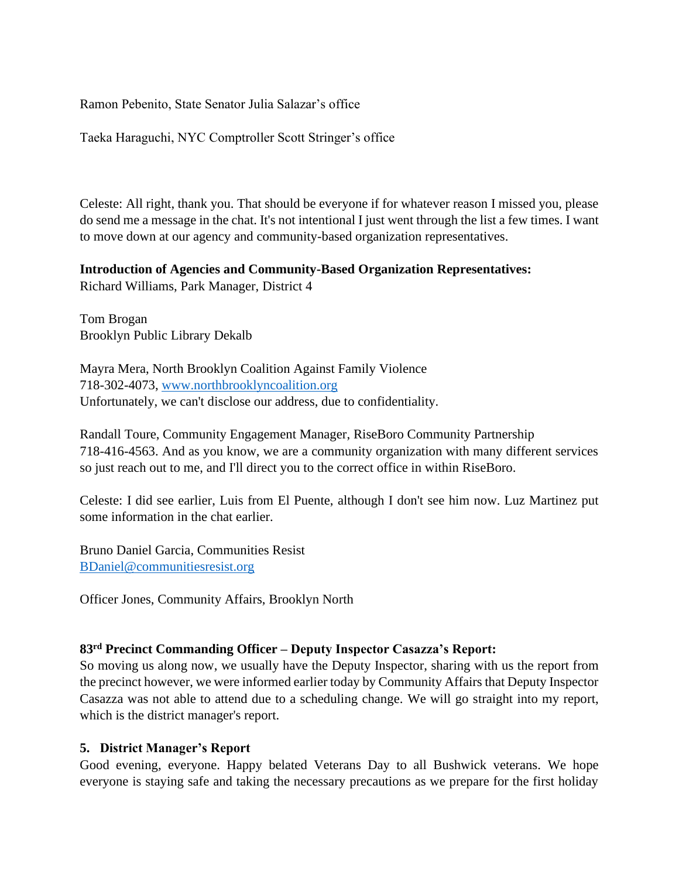Ramon Pebenito, State Senator Julia Salazar's office

Taeka Haraguchi, NYC Comptroller Scott Stringer's office

Celeste: All right, thank you. That should be everyone if for whatever reason I missed you, please do send me a message in the chat. It's not intentional I just went through the list a few times. I want to move down at our agency and community-based organization representatives.

#### **Introduction of Agencies and Community-Based Organization Representatives:**

Richard Williams, Park Manager, District 4

Tom Brogan Brooklyn Public Library Dekalb

Mayra Mera, North Brooklyn Coalition Against Family Violence 718-302-4073, [www.northbrooklyncoalition.org](http://www.northbrooklyncoalition.org/) Unfortunately, we can't disclose our address, due to confidentiality.

Randall Toure, Community Engagement Manager, RiseBoro Community Partnership 718-416-4563. And as you know, we are a community organization with many different services so just reach out to me, and I'll direct you to the correct office in within RiseBoro.

Celeste: I did see earlier, Luis from El Puente, although I don't see him now. Luz Martinez put some information in the chat earlier.

Bruno Daniel Garcia, Communities Resist [BDaniel@communitiesresist.org](mailto:BDaniel@communitiesresist.org)

Officer Jones, Community Affairs, Brooklyn North

#### **83rd Precinct Commanding Officer – Deputy Inspector Casazza's Report:**

So moving us along now, we usually have the Deputy Inspector, sharing with us the report from the precinct however, we were informed earlier today by Community Affairs that Deputy Inspector Casazza was not able to attend due to a scheduling change. We will go straight into my report, which is the district manager's report.

#### **5. District Manager's Report**

Good evening, everyone. Happy belated Veterans Day to all Bushwick veterans. We hope everyone is staying safe and taking the necessary precautions as we prepare for the first holiday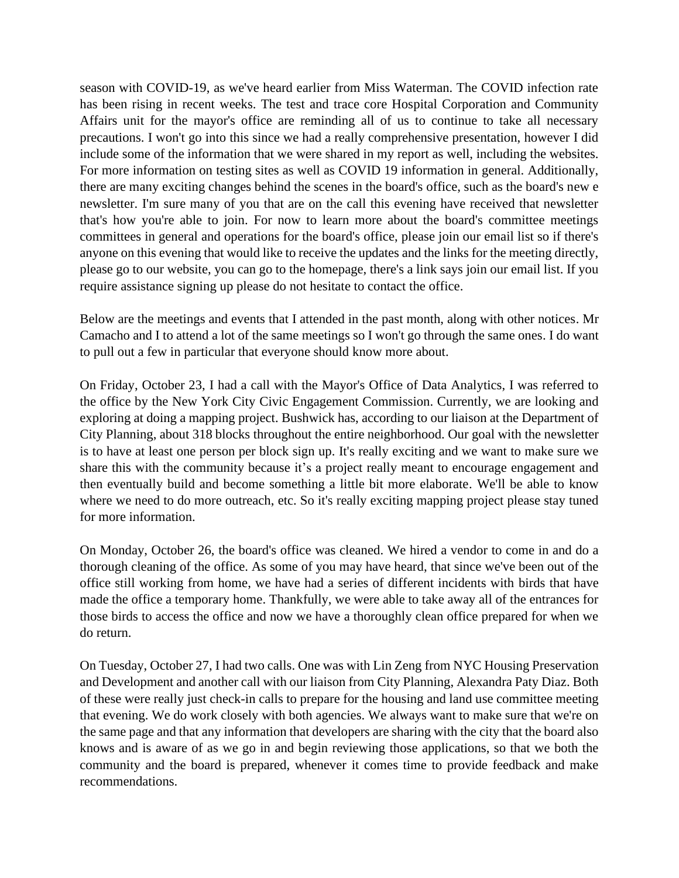season with COVID-19, as we've heard earlier from Miss Waterman. The COVID infection rate has been rising in recent weeks. The test and trace core Hospital Corporation and Community Affairs unit for the mayor's office are reminding all of us to continue to take all necessary precautions. I won't go into this since we had a really comprehensive presentation, however I did include some of the information that we were shared in my report as well, including the websites. For more information on testing sites as well as COVID 19 information in general. Additionally, there are many exciting changes behind the scenes in the board's office, such as the board's new e newsletter. I'm sure many of you that are on the call this evening have received that newsletter that's how you're able to join. For now to learn more about the board's committee meetings committees in general and operations for the board's office, please join our email list so if there's anyone on this evening that would like to receive the updates and the links for the meeting directly, please go to our website, you can go to the homepage, there's a link says join our email list. If you require assistance signing up please do not hesitate to contact the office.

Below are the meetings and events that I attended in the past month, along with other notices. Mr Camacho and I to attend a lot of the same meetings so I won't go through the same ones. I do want to pull out a few in particular that everyone should know more about.

On Friday, October 23, I had a call with the Mayor's Office of Data Analytics, I was referred to the office by the New York City Civic Engagement Commission. Currently, we are looking and exploring at doing a mapping project. Bushwick has, according to our liaison at the Department of City Planning, about 318 blocks throughout the entire neighborhood. Our goal with the newsletter is to have at least one person per block sign up. It's really exciting and we want to make sure we share this with the community because it's a project really meant to encourage engagement and then eventually build and become something a little bit more elaborate. We'll be able to know where we need to do more outreach, etc. So it's really exciting mapping project please stay tuned for more information.

On Monday, October 26, the board's office was cleaned. We hired a vendor to come in and do a thorough cleaning of the office. As some of you may have heard, that since we've been out of the office still working from home, we have had a series of different incidents with birds that have made the office a temporary home. Thankfully, we were able to take away all of the entrances for those birds to access the office and now we have a thoroughly clean office prepared for when we do return.

On Tuesday, October 27, I had two calls. One was with Lin Zeng from NYC Housing Preservation and Development and another call with our liaison from City Planning, Alexandra Paty Diaz. Both of these were really just check-in calls to prepare for the housing and land use committee meeting that evening. We do work closely with both agencies. We always want to make sure that we're on the same page and that any information that developers are sharing with the city that the board also knows and is aware of as we go in and begin reviewing those applications, so that we both the community and the board is prepared, whenever it comes time to provide feedback and make recommendations.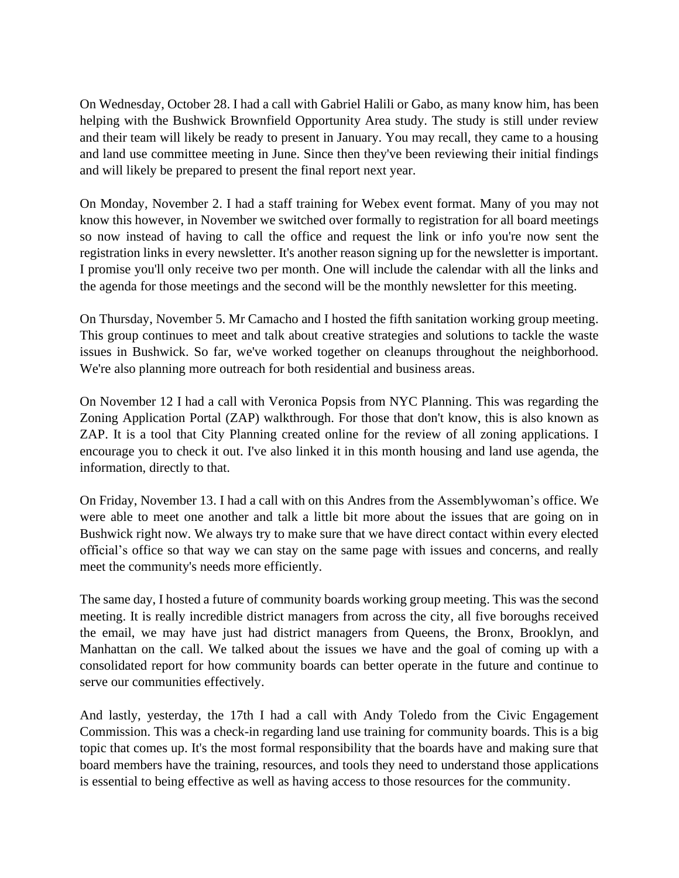On Wednesday, October 28. I had a call with Gabriel Halili or Gabo, as many know him, has been helping with the Bushwick Brownfield Opportunity Area study. The study is still under review and their team will likely be ready to present in January. You may recall, they came to a housing and land use committee meeting in June. Since then they've been reviewing their initial findings and will likely be prepared to present the final report next year.

On Monday, November 2. I had a staff training for Webex event format. Many of you may not know this however, in November we switched over formally to registration for all board meetings so now instead of having to call the office and request the link or info you're now sent the registration links in every newsletter. It's another reason signing up for the newsletter is important. I promise you'll only receive two per month. One will include the calendar with all the links and the agenda for those meetings and the second will be the monthly newsletter for this meeting.

On Thursday, November 5. Mr Camacho and I hosted the fifth sanitation working group meeting. This group continues to meet and talk about creative strategies and solutions to tackle the waste issues in Bushwick. So far, we've worked together on cleanups throughout the neighborhood. We're also planning more outreach for both residential and business areas.

On November 12 I had a call with Veronica Popsis from NYC Planning. This was regarding the Zoning Application Portal (ZAP) walkthrough. For those that don't know, this is also known as ZAP. It is a tool that City Planning created online for the review of all zoning applications. I encourage you to check it out. I've also linked it in this month housing and land use agenda, the information, directly to that.

On Friday, November 13. I had a call with on this Andres from the Assemblywoman's office. We were able to meet one another and talk a little bit more about the issues that are going on in Bushwick right now. We always try to make sure that we have direct contact within every elected official's office so that way we can stay on the same page with issues and concerns, and really meet the community's needs more efficiently.

The same day, I hosted a future of community boards working group meeting. This was the second meeting. It is really incredible district managers from across the city, all five boroughs received the email, we may have just had district managers from Queens, the Bronx, Brooklyn, and Manhattan on the call. We talked about the issues we have and the goal of coming up with a consolidated report for how community boards can better operate in the future and continue to serve our communities effectively.

And lastly, yesterday, the 17th I had a call with Andy Toledo from the Civic Engagement Commission. This was a check-in regarding land use training for community boards. This is a big topic that comes up. It's the most formal responsibility that the boards have and making sure that board members have the training, resources, and tools they need to understand those applications is essential to being effective as well as having access to those resources for the community.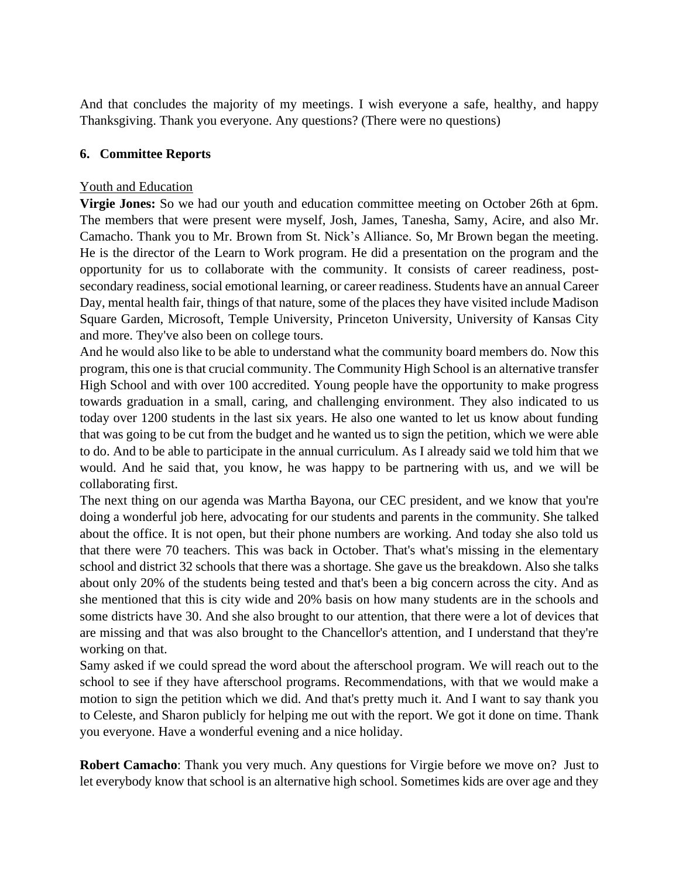And that concludes the majority of my meetings. I wish everyone a safe, healthy, and happy Thanksgiving. Thank you everyone. Any questions? (There were no questions)

#### **6. Committee Reports**

#### Youth and Education

**Virgie Jones:** So we had our youth and education committee meeting on October 26th at 6pm. The members that were present were myself, Josh, James, Tanesha, Samy, Acire, and also Mr. Camacho. Thank you to Mr. Brown from St. Nick's Alliance. So, Mr Brown began the meeting. He is the director of the Learn to Work program. He did a presentation on the program and the opportunity for us to collaborate with the community. It consists of career readiness, postsecondary readiness, social emotional learning, or career readiness. Students have an annual Career Day, mental health fair, things of that nature, some of the places they have visited include Madison Square Garden, Microsoft, Temple University, Princeton University, University of Kansas City and more. They've also been on college tours.

And he would also like to be able to understand what the community board members do. Now this program, this one is that crucial community. The Community High School is an alternative transfer High School and with over 100 accredited. Young people have the opportunity to make progress towards graduation in a small, caring, and challenging environment. They also indicated to us today over 1200 students in the last six years. He also one wanted to let us know about funding that was going to be cut from the budget and he wanted us to sign the petition, which we were able to do. And to be able to participate in the annual curriculum. As I already said we told him that we would. And he said that, you know, he was happy to be partnering with us, and we will be collaborating first.

The next thing on our agenda was Martha Bayona, our CEC president, and we know that you're doing a wonderful job here, advocating for our students and parents in the community. She talked about the office. It is not open, but their phone numbers are working. And today she also told us that there were 70 teachers. This was back in October. That's what's missing in the elementary school and district 32 schools that there was a shortage. She gave us the breakdown. Also she talks about only 20% of the students being tested and that's been a big concern across the city. And as she mentioned that this is city wide and 20% basis on how many students are in the schools and some districts have 30. And she also brought to our attention, that there were a lot of devices that are missing and that was also brought to the Chancellor's attention, and I understand that they're working on that.

Samy asked if we could spread the word about the afterschool program. We will reach out to the school to see if they have afterschool programs. Recommendations, with that we would make a motion to sign the petition which we did. And that's pretty much it. And I want to say thank you to Celeste, and Sharon publicly for helping me out with the report. We got it done on time. Thank you everyone. Have a wonderful evening and a nice holiday.

**Robert Camacho**: Thank you very much. Any questions for Virgie before we move on? Just to let everybody know that school is an alternative high school. Sometimes kids are over age and they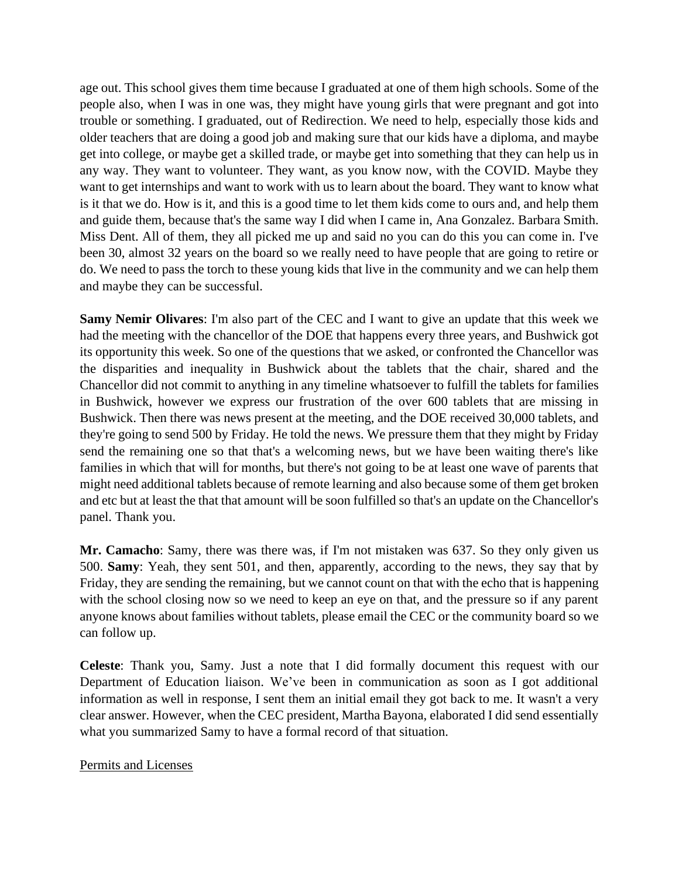age out. This school gives them time because I graduated at one of them high schools. Some of the people also, when I was in one was, they might have young girls that were pregnant and got into trouble or something. I graduated, out of Redirection. We need to help, especially those kids and older teachers that are doing a good job and making sure that our kids have a diploma, and maybe get into college, or maybe get a skilled trade, or maybe get into something that they can help us in any way. They want to volunteer. They want, as you know now, with the COVID. Maybe they want to get internships and want to work with us to learn about the board. They want to know what is it that we do. How is it, and this is a good time to let them kids come to ours and, and help them and guide them, because that's the same way I did when I came in, Ana Gonzalez. Barbara Smith. Miss Dent. All of them, they all picked me up and said no you can do this you can come in. I've been 30, almost 32 years on the board so we really need to have people that are going to retire or do. We need to pass the torch to these young kids that live in the community and we can help them and maybe they can be successful.

**Samy Nemir Olivares**: I'm also part of the CEC and I want to give an update that this week we had the meeting with the chancellor of the DOE that happens every three years, and Bushwick got its opportunity this week. So one of the questions that we asked, or confronted the Chancellor was the disparities and inequality in Bushwick about the tablets that the chair, shared and the Chancellor did not commit to anything in any timeline whatsoever to fulfill the tablets for families in Bushwick, however we express our frustration of the over 600 tablets that are missing in Bushwick. Then there was news present at the meeting, and the DOE received 30,000 tablets, and they're going to send 500 by Friday. He told the news. We pressure them that they might by Friday send the remaining one so that that's a welcoming news, but we have been waiting there's like families in which that will for months, but there's not going to be at least one wave of parents that might need additional tablets because of remote learning and also because some of them get broken and etc but at least the that that amount will be soon fulfilled so that's an update on the Chancellor's panel. Thank you.

**Mr. Camacho**: Samy, there was there was, if I'm not mistaken was 637. So they only given us 500. **Samy**: Yeah, they sent 501, and then, apparently, according to the news, they say that by Friday, they are sending the remaining, but we cannot count on that with the echo that is happening with the school closing now so we need to keep an eye on that, and the pressure so if any parent anyone knows about families without tablets, please email the CEC or the community board so we can follow up.

**Celeste**: Thank you, Samy. Just a note that I did formally document this request with our Department of Education liaison. We've been in communication as soon as I got additional information as well in response, I sent them an initial email they got back to me. It wasn't a very clear answer. However, when the CEC president, Martha Bayona, elaborated I did send essentially what you summarized Samy to have a formal record of that situation.

## Permits and Licenses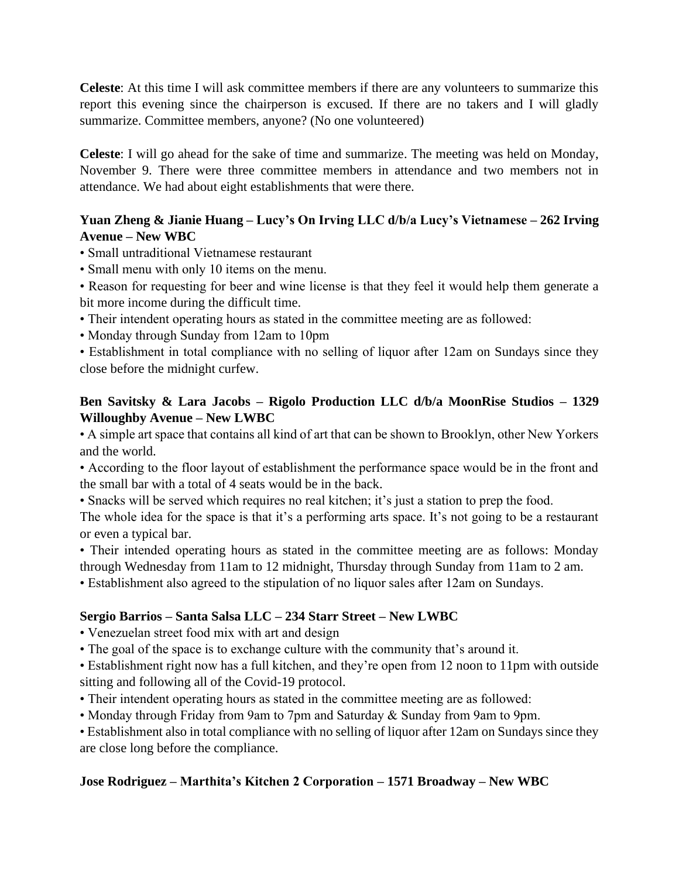**Celeste**: At this time I will ask committee members if there are any volunteers to summarize this report this evening since the chairperson is excused. If there are no takers and I will gladly summarize. Committee members, anyone? (No one volunteered)

**Celeste**: I will go ahead for the sake of time and summarize. The meeting was held on Monday, November 9. There were three committee members in attendance and two members not in attendance. We had about eight establishments that were there.

# **Yuan Zheng & Jianie Huang – Lucy's On Irving LLC d/b/a Lucy's Vietnamese – 262 Irving Avenue – New WBC**

- Small untraditional Vietnamese restaurant
- Small menu with only 10 items on the menu.

• Reason for requesting for beer and wine license is that they feel it would help them generate a bit more income during the difficult time.

- Their intendent operating hours as stated in the committee meeting are as followed:
- Monday through Sunday from 12am to 10pm

• Establishment in total compliance with no selling of liquor after 12am on Sundays since they close before the midnight curfew.

## **Ben Savitsky & Lara Jacobs – Rigolo Production LLC d/b/a MoonRise Studios – 1329 Willoughby Avenue – New LWBC**

• A simple art space that contains all kind of art that can be shown to Brooklyn, other New Yorkers and the world.

• According to the floor layout of establishment the performance space would be in the front and the small bar with a total of 4 seats would be in the back.

• Snacks will be served which requires no real kitchen; it's just a station to prep the food.

The whole idea for the space is that it's a performing arts space. It's not going to be a restaurant or even a typical bar.

• Their intended operating hours as stated in the committee meeting are as follows: Monday through Wednesday from 11am to 12 midnight, Thursday through Sunday from 11am to 2 am.

• Establishment also agreed to the stipulation of no liquor sales after 12am on Sundays.

# **Sergio Barrios – Santa Salsa LLC – 234 Starr Street – New LWBC**

• Venezuelan street food mix with art and design

• The goal of the space is to exchange culture with the community that's around it.

• Establishment right now has a full kitchen, and they're open from 12 noon to 11pm with outside sitting and following all of the Covid-19 protocol.

- Their intendent operating hours as stated in the committee meeting are as followed:
- Monday through Friday from 9am to 7pm and Saturday & Sunday from 9am to 9pm.

• Establishment also in total compliance with no selling of liquor after 12am on Sundays since they are close long before the compliance.

# **Jose Rodriguez – Marthita's Kitchen 2 Corporation – 1571 Broadway – New WBC**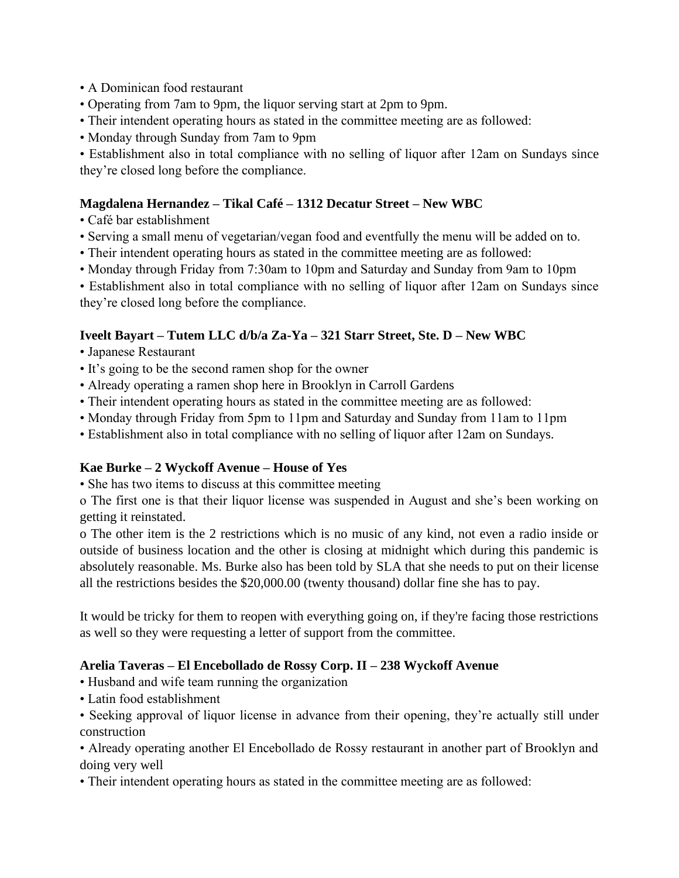- A Dominican food restaurant
- Operating from 7am to 9pm, the liquor serving start at 2pm to 9pm.
- Their intendent operating hours as stated in the committee meeting are as followed:
- Monday through Sunday from 7am to 9pm

• Establishment also in total compliance with no selling of liquor after 12am on Sundays since they're closed long before the compliance.

## **Magdalena Hernandez – Tikal Café – 1312 Decatur Street – New WBC**

- Café bar establishment
- Serving a small menu of vegetarian/vegan food and eventfully the menu will be added on to.
- Their intendent operating hours as stated in the committee meeting are as followed:
- Monday through Friday from 7:30am to 10pm and Saturday and Sunday from 9am to 10pm

• Establishment also in total compliance with no selling of liquor after 12am on Sundays since they're closed long before the compliance.

#### **Iveelt Bayart – Tutem LLC d/b/a Za-Ya – 321 Starr Street, Ste. D – New WBC**

- Japanese Restaurant
- It's going to be the second ramen shop for the owner
- Already operating a ramen shop here in Brooklyn in Carroll Gardens
- Their intendent operating hours as stated in the committee meeting are as followed:
- Monday through Friday from 5pm to 11pm and Saturday and Sunday from 11am to 11pm
- Establishment also in total compliance with no selling of liquor after 12am on Sundays.

#### **Kae Burke – 2 Wyckoff Avenue – House of Yes**

• She has two items to discuss at this committee meeting

o The first one is that their liquor license was suspended in August and she's been working on getting it reinstated.

o The other item is the 2 restrictions which is no music of any kind, not even a radio inside or outside of business location and the other is closing at midnight which during this pandemic is absolutely reasonable. Ms. Burke also has been told by SLA that she needs to put on their license all the restrictions besides the \$20,000.00 (twenty thousand) dollar fine she has to pay.

It would be tricky for them to reopen with everything going on, if they're facing those restrictions as well so they were requesting a letter of support from the committee.

## **Arelia Taveras – El Encebollado de Rossy Corp. II – 238 Wyckoff Avenue**

- Husband and wife team running the organization
- Latin food establishment

• Seeking approval of liquor license in advance from their opening, they're actually still under construction

• Already operating another El Encebollado de Rossy restaurant in another part of Brooklyn and doing very well

• Their intendent operating hours as stated in the committee meeting are as followed: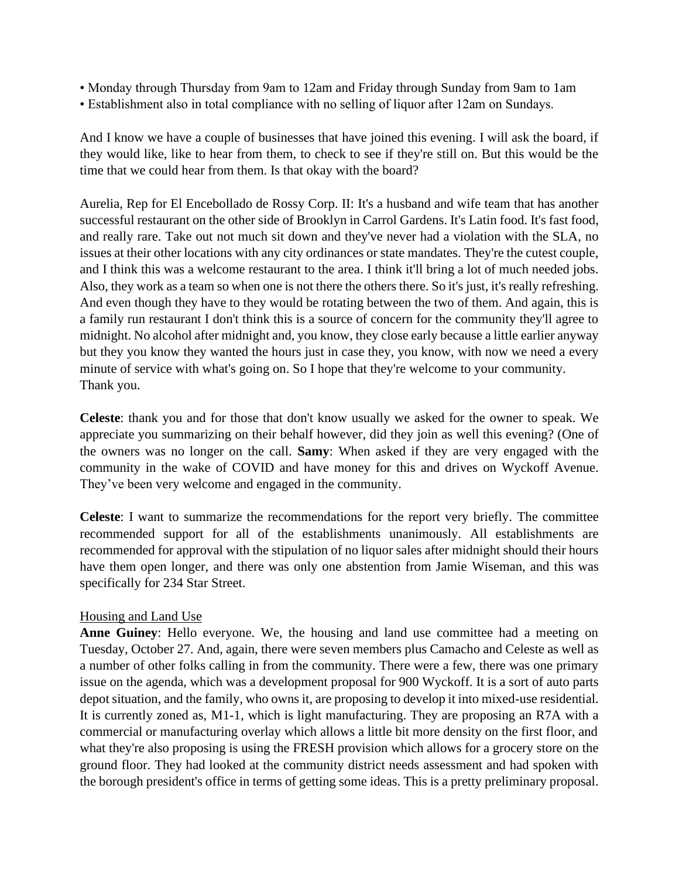- Monday through Thursday from 9am to 12am and Friday through Sunday from 9am to 1am
- Establishment also in total compliance with no selling of liquor after 12am on Sundays.

And I know we have a couple of businesses that have joined this evening. I will ask the board, if they would like, like to hear from them, to check to see if they're still on. But this would be the time that we could hear from them. Is that okay with the board?

Aurelia, Rep for El Encebollado de Rossy Corp. II: It's a husband and wife team that has another successful restaurant on the other side of Brooklyn in Carrol Gardens. It's Latin food. It's fast food, and really rare. Take out not much sit down and they've never had a violation with the SLA, no issues at their other locations with any city ordinances or state mandates. They're the cutest couple, and I think this was a welcome restaurant to the area. I think it'll bring a lot of much needed jobs. Also, they work as a team so when one is not there the others there. So it's just, it's really refreshing. And even though they have to they would be rotating between the two of them. And again, this is a family run restaurant I don't think this is a source of concern for the community they'll agree to midnight. No alcohol after midnight and, you know, they close early because a little earlier anyway but they you know they wanted the hours just in case they, you know, with now we need a every minute of service with what's going on. So I hope that they're welcome to your community. Thank you.

**Celeste**: thank you and for those that don't know usually we asked for the owner to speak. We appreciate you summarizing on their behalf however, did they join as well this evening? (One of the owners was no longer on the call. **Samy**: When asked if they are very engaged with the community in the wake of COVID and have money for this and drives on Wyckoff Avenue. They've been very welcome and engaged in the community.

**Celeste**: I want to summarize the recommendations for the report very briefly. The committee recommended support for all of the establishments unanimously. All establishments are recommended for approval with the stipulation of no liquor sales after midnight should their hours have them open longer, and there was only one abstention from Jamie Wiseman, and this was specifically for 234 Star Street.

## Housing and Land Use

**Anne Guiney**: Hello everyone. We, the housing and land use committee had a meeting on Tuesday, October 27. And, again, there were seven members plus Camacho and Celeste as well as a number of other folks calling in from the community. There were a few, there was one primary issue on the agenda, which was a development proposal for 900 Wyckoff. It is a sort of auto parts depot situation, and the family, who owns it, are proposing to develop it into mixed-use residential. It is currently zoned as, M1-1, which is light manufacturing. They are proposing an R7A with a commercial or manufacturing overlay which allows a little bit more density on the first floor, and what they're also proposing is using the FRESH provision which allows for a grocery store on the ground floor. They had looked at the community district needs assessment and had spoken with the borough president's office in terms of getting some ideas. This is a pretty preliminary proposal.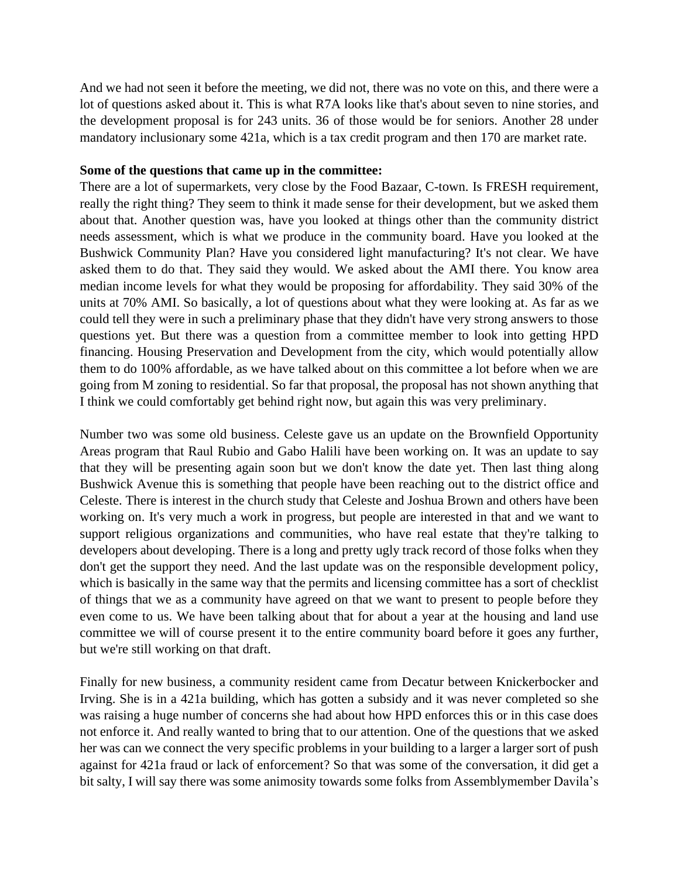And we had not seen it before the meeting, we did not, there was no vote on this, and there were a lot of questions asked about it. This is what R7A looks like that's about seven to nine stories, and the development proposal is for 243 units. 36 of those would be for seniors. Another 28 under mandatory inclusionary some 421a, which is a tax credit program and then 170 are market rate.

#### **Some of the questions that came up in the committee:**

There are a lot of supermarkets, very close by the Food Bazaar, C-town. Is FRESH requirement, really the right thing? They seem to think it made sense for their development, but we asked them about that. Another question was, have you looked at things other than the community district needs assessment, which is what we produce in the community board. Have you looked at the Bushwick Community Plan? Have you considered light manufacturing? It's not clear. We have asked them to do that. They said they would. We asked about the AMI there. You know area median income levels for what they would be proposing for affordability. They said 30% of the units at 70% AMI. So basically, a lot of questions about what they were looking at. As far as we could tell they were in such a preliminary phase that they didn't have very strong answers to those questions yet. But there was a question from a committee member to look into getting HPD financing. Housing Preservation and Development from the city, which would potentially allow them to do 100% affordable, as we have talked about on this committee a lot before when we are going from M zoning to residential. So far that proposal, the proposal has not shown anything that I think we could comfortably get behind right now, but again this was very preliminary.

Number two was some old business. Celeste gave us an update on the Brownfield Opportunity Areas program that Raul Rubio and Gabo Halili have been working on. It was an update to say that they will be presenting again soon but we don't know the date yet. Then last thing along Bushwick Avenue this is something that people have been reaching out to the district office and Celeste. There is interest in the church study that Celeste and Joshua Brown and others have been working on. It's very much a work in progress, but people are interested in that and we want to support religious organizations and communities, who have real estate that they're talking to developers about developing. There is a long and pretty ugly track record of those folks when they don't get the support they need. And the last update was on the responsible development policy, which is basically in the same way that the permits and licensing committee has a sort of checklist of things that we as a community have agreed on that we want to present to people before they even come to us. We have been talking about that for about a year at the housing and land use committee we will of course present it to the entire community board before it goes any further, but we're still working on that draft.

Finally for new business, a community resident came from Decatur between Knickerbocker and Irving. She is in a 421a building, which has gotten a subsidy and it was never completed so she was raising a huge number of concerns she had about how HPD enforces this or in this case does not enforce it. And really wanted to bring that to our attention. One of the questions that we asked her was can we connect the very specific problems in your building to a larger a larger sort of push against for 421a fraud or lack of enforcement? So that was some of the conversation, it did get a bit salty, I will say there was some animosity towards some folks from Assemblymember Davila's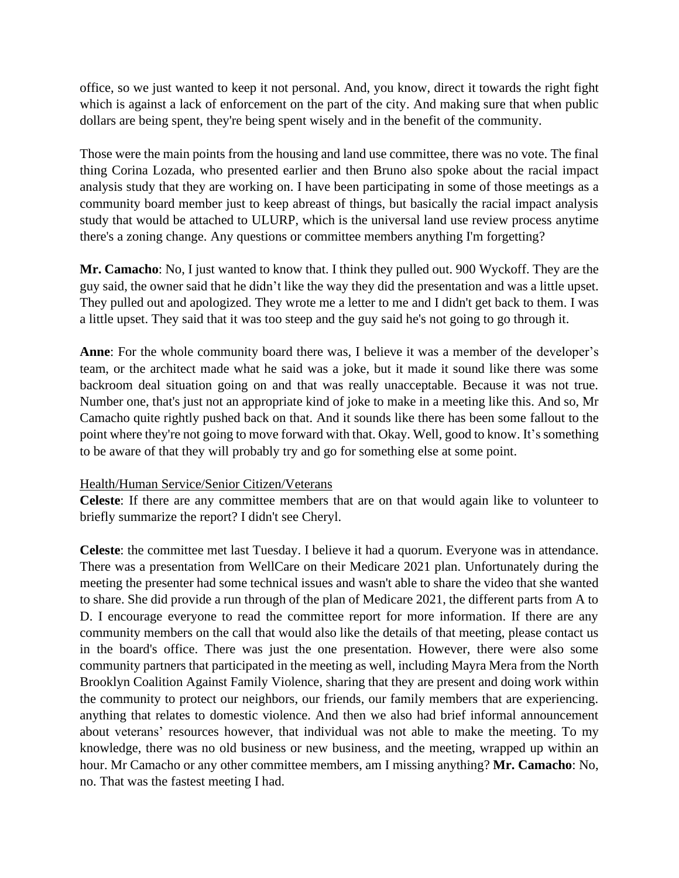office, so we just wanted to keep it not personal. And, you know, direct it towards the right fight which is against a lack of enforcement on the part of the city. And making sure that when public dollars are being spent, they're being spent wisely and in the benefit of the community.

Those were the main points from the housing and land use committee, there was no vote. The final thing Corina Lozada, who presented earlier and then Bruno also spoke about the racial impact analysis study that they are working on. I have been participating in some of those meetings as a community board member just to keep abreast of things, but basically the racial impact analysis study that would be attached to ULURP, which is the universal land use review process anytime there's a zoning change. Any questions or committee members anything I'm forgetting?

**Mr. Camacho**: No, I just wanted to know that. I think they pulled out. 900 Wyckoff. They are the guy said, the owner said that he didn't like the way they did the presentation and was a little upset. They pulled out and apologized. They wrote me a letter to me and I didn't get back to them. I was a little upset. They said that it was too steep and the guy said he's not going to go through it.

**Anne**: For the whole community board there was, I believe it was a member of the developer's team, or the architect made what he said was a joke, but it made it sound like there was some backroom deal situation going on and that was really unacceptable. Because it was not true. Number one, that's just not an appropriate kind of joke to make in a meeting like this. And so, Mr Camacho quite rightly pushed back on that. And it sounds like there has been some fallout to the point where they're not going to move forward with that. Okay. Well, good to know. It's something to be aware of that they will probably try and go for something else at some point.

## Health/Human Service/Senior Citizen/Veterans

**Celeste**: If there are any committee members that are on that would again like to volunteer to briefly summarize the report? I didn't see Cheryl.

**Celeste**: the committee met last Tuesday. I believe it had a quorum. Everyone was in attendance. There was a presentation from WellCare on their Medicare 2021 plan. Unfortunately during the meeting the presenter had some technical issues and wasn't able to share the video that she wanted to share. She did provide a run through of the plan of Medicare 2021, the different parts from A to D. I encourage everyone to read the committee report for more information. If there are any community members on the call that would also like the details of that meeting, please contact us in the board's office. There was just the one presentation. However, there were also some community partners that participated in the meeting as well, including Mayra Mera from the North Brooklyn Coalition Against Family Violence, sharing that they are present and doing work within the community to protect our neighbors, our friends, our family members that are experiencing. anything that relates to domestic violence. And then we also had brief informal announcement about veterans' resources however, that individual was not able to make the meeting. To my knowledge, there was no old business or new business, and the meeting, wrapped up within an hour. Mr Camacho or any other committee members, am I missing anything? **Mr. Camacho**: No, no. That was the fastest meeting I had.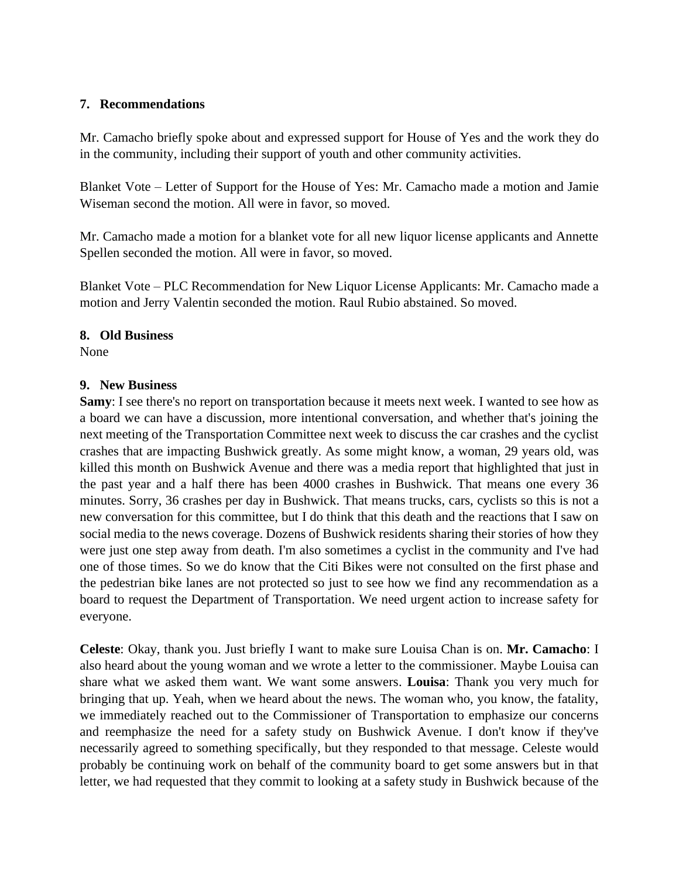## **7. Recommendations**

Mr. Camacho briefly spoke about and expressed support for House of Yes and the work they do in the community, including their support of youth and other community activities.

Blanket Vote – Letter of Support for the House of Yes: Mr. Camacho made a motion and Jamie Wiseman second the motion. All were in favor, so moved.

Mr. Camacho made a motion for a blanket vote for all new liquor license applicants and Annette Spellen seconded the motion. All were in favor, so moved.

Blanket Vote – PLC Recommendation for New Liquor License Applicants: Mr. Camacho made a motion and Jerry Valentin seconded the motion. Raul Rubio abstained. So moved.

#### **8. Old Business**

None

#### **9. New Business**

**Samy**: I see there's no report on transportation because it meets next week. I wanted to see how as a board we can have a discussion, more intentional conversation, and whether that's joining the next meeting of the Transportation Committee next week to discuss the car crashes and the cyclist crashes that are impacting Bushwick greatly. As some might know, a woman, 29 years old, was killed this month on Bushwick Avenue and there was a media report that highlighted that just in the past year and a half there has been 4000 crashes in Bushwick. That means one every 36 minutes. Sorry, 36 crashes per day in Bushwick. That means trucks, cars, cyclists so this is not a new conversation for this committee, but I do think that this death and the reactions that I saw on social media to the news coverage. Dozens of Bushwick residents sharing their stories of how they were just one step away from death. I'm also sometimes a cyclist in the community and I've had one of those times. So we do know that the Citi Bikes were not consulted on the first phase and the pedestrian bike lanes are not protected so just to see how we find any recommendation as a board to request the Department of Transportation. We need urgent action to increase safety for everyone.

**Celeste**: Okay, thank you. Just briefly I want to make sure Louisa Chan is on. **Mr. Camacho**: I also heard about the young woman and we wrote a letter to the commissioner. Maybe Louisa can share what we asked them want. We want some answers. **Louisa**: Thank you very much for bringing that up. Yeah, when we heard about the news. The woman who, you know, the fatality, we immediately reached out to the Commissioner of Transportation to emphasize our concerns and reemphasize the need for a safety study on Bushwick Avenue. I don't know if they've necessarily agreed to something specifically, but they responded to that message. Celeste would probably be continuing work on behalf of the community board to get some answers but in that letter, we had requested that they commit to looking at a safety study in Bushwick because of the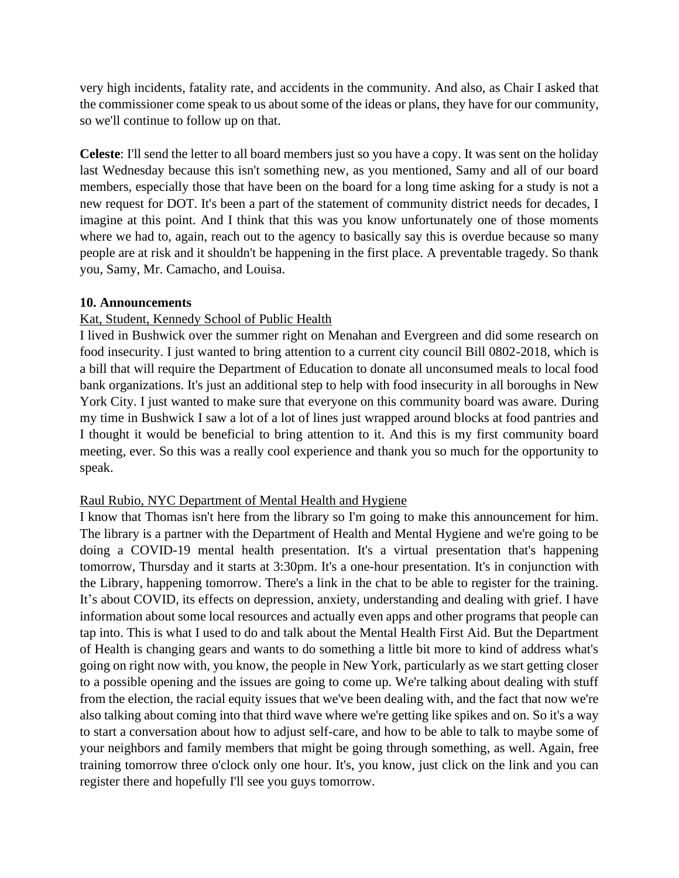very high incidents, fatality rate, and accidents in the community. And also, as Chair I asked that the commissioner come speak to us about some of the ideas or plans, they have for our community, so we'll continue to follow up on that.

**Celeste**: I'll send the letter to all board members just so you have a copy. It was sent on the holiday last Wednesday because this isn't something new, as you mentioned, Samy and all of our board members, especially those that have been on the board for a long time asking for a study is not a new request for DOT. It's been a part of the statement of community district needs for decades, I imagine at this point. And I think that this was you know unfortunately one of those moments where we had to, again, reach out to the agency to basically say this is overdue because so many people are at risk and it shouldn't be happening in the first place. A preventable tragedy. So thank you, Samy, Mr. Camacho, and Louisa.

#### **10. Announcements**

#### Kat, Student, Kennedy School of Public Health

I lived in Bushwick over the summer right on Menahan and Evergreen and did some research on food insecurity. I just wanted to bring attention to a current city council Bill 0802-2018, which is a bill that will require the Department of Education to donate all unconsumed meals to local food bank organizations. It's just an additional step to help with food insecurity in all boroughs in New York City. I just wanted to make sure that everyone on this community board was aware. During my time in Bushwick I saw a lot of a lot of lines just wrapped around blocks at food pantries and I thought it would be beneficial to bring attention to it. And this is my first community board meeting, ever. So this was a really cool experience and thank you so much for the opportunity to speak.

#### Raul Rubio, NYC Department of Mental Health and Hygiene

I know that Thomas isn't here from the library so I'm going to make this announcement for him. The library is a partner with the Department of Health and Mental Hygiene and we're going to be doing a COVID-19 mental health presentation. It's a virtual presentation that's happening tomorrow, Thursday and it starts at 3:30pm. It's a one-hour presentation. It's in conjunction with the Library, happening tomorrow. There's a link in the chat to be able to register for the training. It's about COVID, its effects on depression, anxiety, understanding and dealing with grief. I have information about some local resources and actually even apps and other programs that people can tap into. This is what I used to do and talk about the Mental Health First Aid. But the Department of Health is changing gears and wants to do something a little bit more to kind of address what's going on right now with, you know, the people in New York, particularly as we start getting closer to a possible opening and the issues are going to come up. We're talking about dealing with stuff from the election, the racial equity issues that we've been dealing with, and the fact that now we're also talking about coming into that third wave where we're getting like spikes and on. So it's a way to start a conversation about how to adjust self-care, and how to be able to talk to maybe some of your neighbors and family members that might be going through something, as well. Again, free training tomorrow three o'clock only one hour. It's, you know, just click on the link and you can register there and hopefully I'll see you guys tomorrow.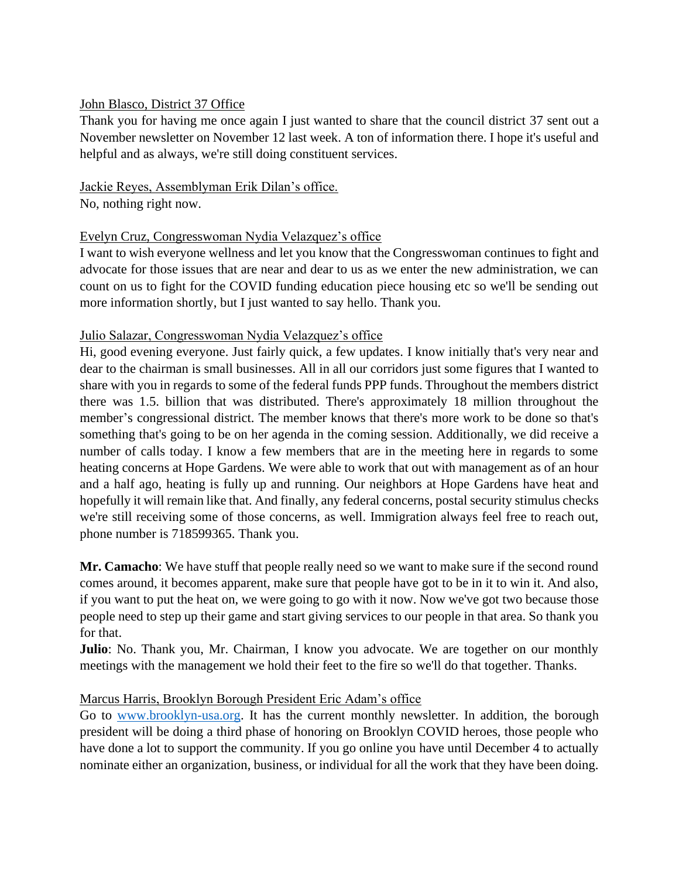#### John Blasco, District 37 Office

Thank you for having me once again I just wanted to share that the council district 37 sent out a November newsletter on November 12 last week. A ton of information there. I hope it's useful and helpful and as always, we're still doing constituent services.

# Jackie Reyes, Assemblyman Erik Dilan's office.

No, nothing right now.

## Evelyn Cruz, Congresswoman Nydia Velazquez's office

I want to wish everyone wellness and let you know that the Congresswoman continues to fight and advocate for those issues that are near and dear to us as we enter the new administration, we can count on us to fight for the COVID funding education piece housing etc so we'll be sending out more information shortly, but I just wanted to say hello. Thank you.

## Julio Salazar, Congresswoman Nydia Velazquez's office

Hi, good evening everyone. Just fairly quick, a few updates. I know initially that's very near and dear to the chairman is small businesses. All in all our corridors just some figures that I wanted to share with you in regards to some of the federal funds PPP funds. Throughout the members district there was 1.5. billion that was distributed. There's approximately 18 million throughout the member's congressional district. The member knows that there's more work to be done so that's something that's going to be on her agenda in the coming session. Additionally, we did receive a number of calls today. I know a few members that are in the meeting here in regards to some heating concerns at Hope Gardens. We were able to work that out with management as of an hour and a half ago, heating is fully up and running. Our neighbors at Hope Gardens have heat and hopefully it will remain like that. And finally, any federal concerns, postal security stimulus checks we're still receiving some of those concerns, as well. Immigration always feel free to reach out, phone number is 718599365. Thank you.

**Mr. Camacho**: We have stuff that people really need so we want to make sure if the second round comes around, it becomes apparent, make sure that people have got to be in it to win it. And also, if you want to put the heat on, we were going to go with it now. Now we've got two because those people need to step up their game and start giving services to our people in that area. So thank you for that.

**Julio**: No. Thank you, Mr. Chairman, I know you advocate. We are together on our monthly meetings with the management we hold their feet to the fire so we'll do that together. Thanks.

## Marcus Harris, Brooklyn Borough President Eric Adam's office

Go to [www.brooklyn-usa.org.](http://www.brooklyn-usa.org/) It has the current monthly newsletter. In addition, the borough president will be doing a third phase of honoring on Brooklyn COVID heroes, those people who have done a lot to support the community. If you go online you have until December 4 to actually nominate either an organization, business, or individual for all the work that they have been doing.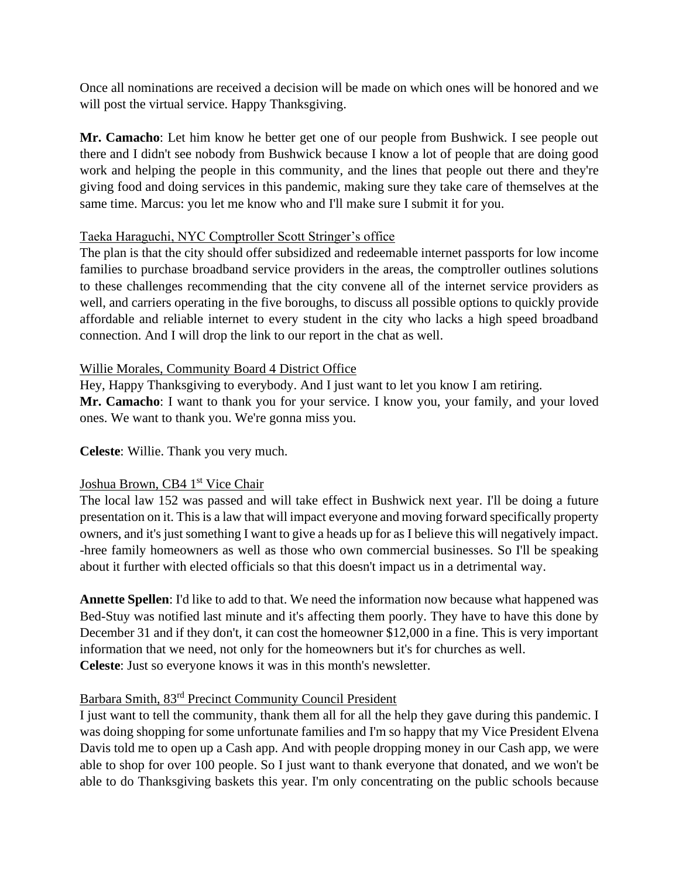Once all nominations are received a decision will be made on which ones will be honored and we will post the virtual service. Happy Thanksgiving.

**Mr. Camacho**: Let him know he better get one of our people from Bushwick. I see people out there and I didn't see nobody from Bushwick because I know a lot of people that are doing good work and helping the people in this community, and the lines that people out there and they're giving food and doing services in this pandemic, making sure they take care of themselves at the same time. Marcus: you let me know who and I'll make sure I submit it for you.

## Taeka Haraguchi, NYC Comptroller Scott Stringer's office

The plan is that the city should offer subsidized and redeemable internet passports for low income families to purchase broadband service providers in the areas, the comptroller outlines solutions to these challenges recommending that the city convene all of the internet service providers as well, and carriers operating in the five boroughs, to discuss all possible options to quickly provide affordable and reliable internet to every student in the city who lacks a high speed broadband connection. And I will drop the link to our report in the chat as well.

## Willie Morales, Community Board 4 District Office

Hey, Happy Thanksgiving to everybody. And I just want to let you know I am retiring. **Mr. Camacho**: I want to thank you for your service. I know you, your family, and your loved ones. We want to thank you. We're gonna miss you.

**Celeste**: Willie. Thank you very much.

# Joshua Brown, CB4 1<sup>st</sup> Vice Chair

The local law 152 was passed and will take effect in Bushwick next year. I'll be doing a future presentation on it. This is a law that will impact everyone and moving forward specifically property owners, and it's just something I want to give a heads up for as I believe this will negatively impact. -hree family homeowners as well as those who own commercial businesses. So I'll be speaking about it further with elected officials so that this doesn't impact us in a detrimental way.

**Annette Spellen**: I'd like to add to that. We need the information now because what happened was Bed-Stuy was notified last minute and it's affecting them poorly. They have to have this done by December 31 and if they don't, it can cost the homeowner \$12,000 in a fine. This is very important information that we need, not only for the homeowners but it's for churches as well. **Celeste**: Just so everyone knows it was in this month's newsletter.

## Barbara Smith, 83rd Precinct Community Council President

I just want to tell the community, thank them all for all the help they gave during this pandemic. I was doing shopping for some unfortunate families and I'm so happy that my Vice President Elvena Davis told me to open up a Cash app. And with people dropping money in our Cash app, we were able to shop for over 100 people. So I just want to thank everyone that donated, and we won't be able to do Thanksgiving baskets this year. I'm only concentrating on the public schools because